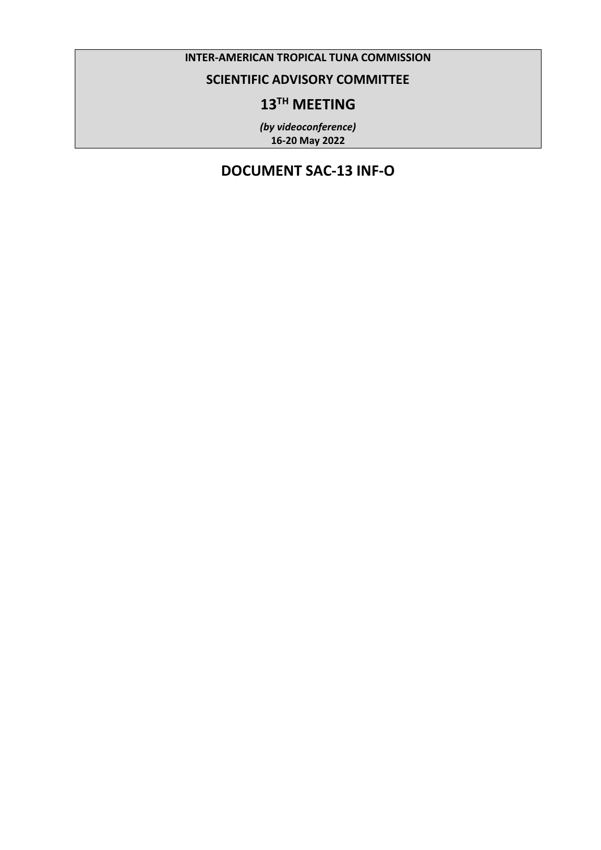### **INTER-AMERICAN TROPICAL TUNA COMMISSION**

### **SCIENTIFIC ADVISORY COMMITTEE**

### **13TH MEETING**

*(by videoconference)* **16-20 May 2022**

### **DOCUMENT SAC-13 INF-O**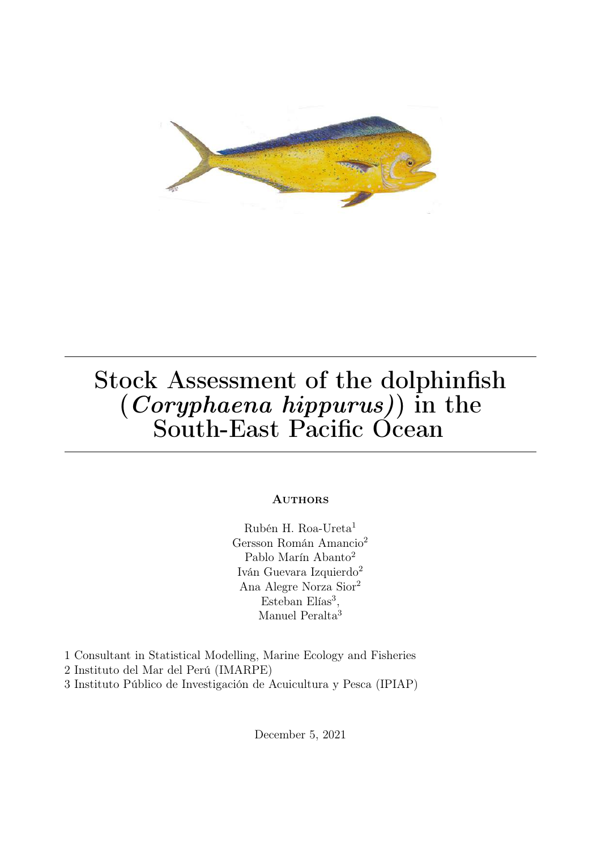

# Stock Assessment of the dolphinfish (Coryphaena hippurus)) in the South-East Pacific Ocean

#### **AUTHORS**

Rubén H. Roa-Ureta<sup>1</sup> Gersson Román Amancio<sup>2</sup> Pablo Marín Abanto<sup>2</sup> Iván Guevara Izquierdo<sup>2</sup> Ana Alegre Norza Sior<sup>2</sup> Esteban Elías<sup>3</sup>, Manuel Peralta<sup>3</sup>

1 Consultant in Statistical Modelling, Marine Ecology and Fisheries 2 Instituto del Mar del Perú (IMARPE) 3 Instituto Público de Investigación de Acuicultura y Pesca (IPIAP)

December 5, 2021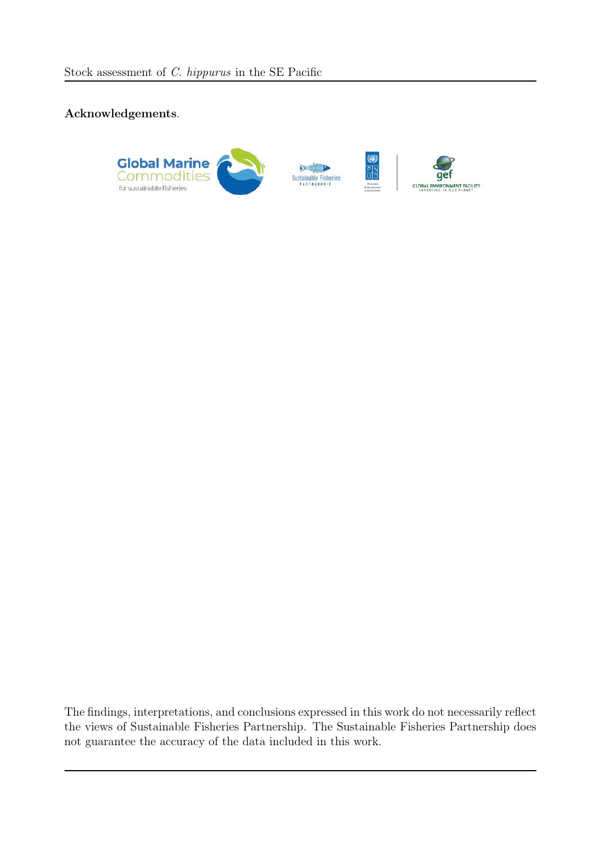#### Acknowledgements.



The findings, interpretations, and conclusions expressed in this work do not necessarily reflect the views of Sustainable Fisheries Partnership. The Sustainable Fisheries Partnership does not guarantee the accuracy of the data included in this work.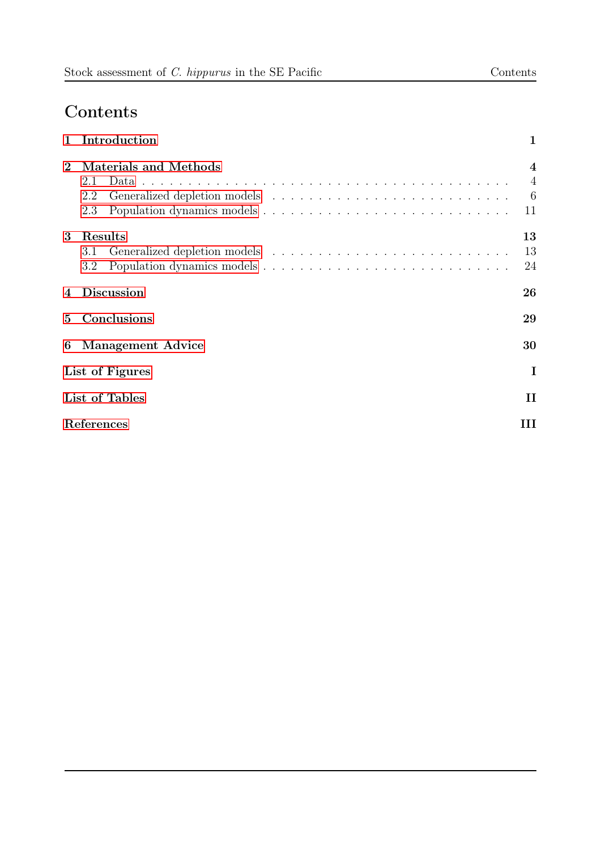## Contents

|              | Introduction                                                                                                                | 1                                           |
|--------------|-----------------------------------------------------------------------------------------------------------------------------|---------------------------------------------|
|              | Materials and Methods<br>2.1<br>2.2<br>2.3                                                                                  | $\overline{4}$<br>$\overline{4}$<br>6<br>11 |
| $\mathbf{3}$ | Results<br>3.1<br>Population dynamics models $\ldots \ldots \ldots \ldots \ldots \ldots \ldots \ldots \ldots \ldots$<br>3.2 | 13<br>13<br>24                              |
|              | <b>Discussion</b>                                                                                                           | 26                                          |
| $\mathbf{5}$ | Conclusions                                                                                                                 | 29                                          |
| 6            | <b>Management Advice</b>                                                                                                    | 30                                          |
|              | List of Figures                                                                                                             | Ι                                           |
|              | List of Tables                                                                                                              | П                                           |
|              | References                                                                                                                  | ш                                           |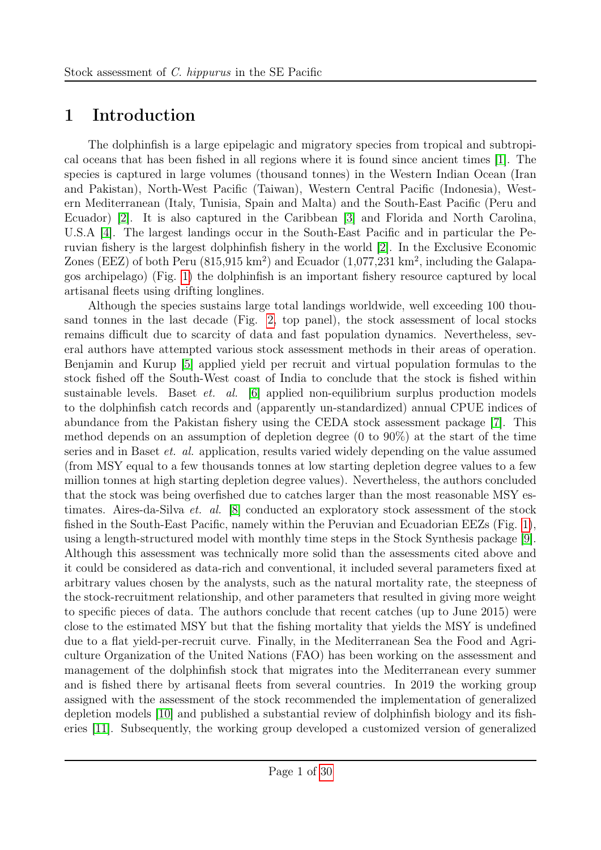## <span id="page-4-0"></span>1 Introduction

The dolphinfish is a large epipelagic and migratory species from tropical and subtropical oceans that has been fished in all regions where it is found since ancient times [\[1\]](#page-36-0). The species is captured in large volumes (thousand tonnes) in the Western Indian Ocean (Iran and Pakistan), North-West Pacific (Taiwan), Western Central Pacific (Indonesia), Western Mediterranean (Italy, Tunisia, Spain and Malta) and the South-East Pacific (Peru and Ecuador) [\[2\]](#page-36-1). It is also captured in the Caribbean [\[3\]](#page-36-2) and Florida and North Carolina, U.S.A [\[4\]](#page-36-3). The largest landings occur in the South-East Pacific and in particular the Peruvian fishery is the largest dolphinfish fishery in the world [\[2\]](#page-36-1). In the Exclusive Economic Zones (EEZ) of both Peru  $(815,915 \text{ km}^2)$  and Ecuador  $(1,077,231 \text{ km}^2)$ , including the Galapagos archipelago) (Fig. [1\)](#page-5-0) the dolphinfish is an important fishery resource captured by local artisanal fleets using drifting longlines.

Although the species sustains large total landings worldwide, well exceeding 100 thousand tonnes in the last decade (Fig. [2,](#page-6-0) top panel), the stock assessment of local stocks remains difficult due to scarcity of data and fast population dynamics. Nevertheless, several authors have attempted various stock assessment methods in their areas of operation. Benjamin and Kurup [\[5\]](#page-36-4) applied yield per recruit and virtual population formulas to the stock fished off the South-West coast of India to conclude that the stock is fished within sustainable levels. Baset *et. al.* [\[6\]](#page-36-5) applied non-equilibrium surplus production models to the dolphinfish catch records and (apparently un-standardized) annual CPUE indices of abundance from the Pakistan fishery using the CEDA stock assessment package [\[7\]](#page-36-6). This method depends on an assumption of depletion degree (0 to 90%) at the start of the time series and in Baset *et. al.* application, results varied widely depending on the value assumed (from MSY equal to a few thousands tonnes at low starting depletion degree values to a few million tonnes at high starting depletion degree values). Nevertheless, the authors concluded that the stock was being overfished due to catches larger than the most reasonable MSY estimates. Aires-da-Silva et. al. [\[8\]](#page-36-7) conducted an exploratory stock assessment of the stock fished in the South-East Pacific, namely within the Peruvian and Ecuadorian EEZs (Fig. [1\)](#page-5-0), using a length-structured model with monthly time steps in the Stock Synthesis package [\[9\]](#page-37-0). Although this assessment was technically more solid than the assessments cited above and it could be considered as data-rich and conventional, it included several parameters fixed at arbitrary values chosen by the analysts, such as the natural mortality rate, the steepness of the stock-recruitment relationship, and other parameters that resulted in giving more weight to specific pieces of data. The authors conclude that recent catches (up to June 2015) were close to the estimated MSY but that the fishing mortality that yields the MSY is undefined due to a flat yield-per-recruit curve. Finally, in the Mediterranean Sea the Food and Agriculture Organization of the United Nations (FAO) has been working on the assessment and management of the dolphinfish stock that migrates into the Mediterranean every summer and is fished there by artisanal fleets from several countries. In 2019 the working group assigned with the assessment of the stock recommended the implementation of generalized depletion models [\[10\]](#page-37-1) and published a substantial review of dolphinfish biology and its fisheries [\[11\]](#page-37-2). Subsequently, the working group developed a customized version of generalized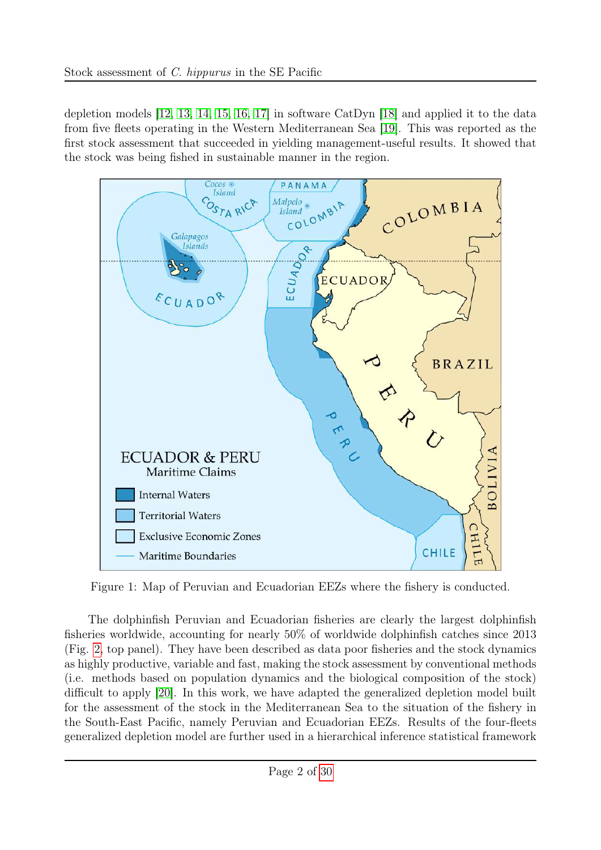depletion models [\[12,](#page-37-3) [13,](#page-37-4) [14,](#page-37-5) [15,](#page-37-6) [16,](#page-37-7) [17\]](#page-37-8) in software CatDyn [\[18\]](#page-37-9) and applied it to the data from five fleets operating in the Western Mediterranean Sea [\[19\]](#page-38-0). This was reported as the first stock assessment that succeeded in yielding management-useful results. It showed that the stock was being fished in sustainable manner in the region.

<span id="page-5-0"></span>

Figure 1: Map of Peruvian and Ecuadorian EEZs where the fishery is conducted.

The dolphinfish Peruvian and Ecuadorian fisheries are clearly the largest dolphinfish fisheries worldwide, accounting for nearly 50% of worldwide dolphinfish catches since 2013 (Fig. [2,](#page-6-0) top panel). They have been described as data poor fisheries and the stock dynamics as highly productive, variable and fast, making the stock assessment by conventional methods (i.e. methods based on population dynamics and the biological composition of the stock) difficult to apply [\[20\]](#page-38-1). In this work, we have adapted the generalized depletion model built for the assessment of the stock in the Mediterranean Sea to the situation of the fishery in the South-East Pacific, namely Peruvian and Ecuadorian EEZs. Results of the four-fleets generalized depletion model are further used in a hierarchical inference statistical framework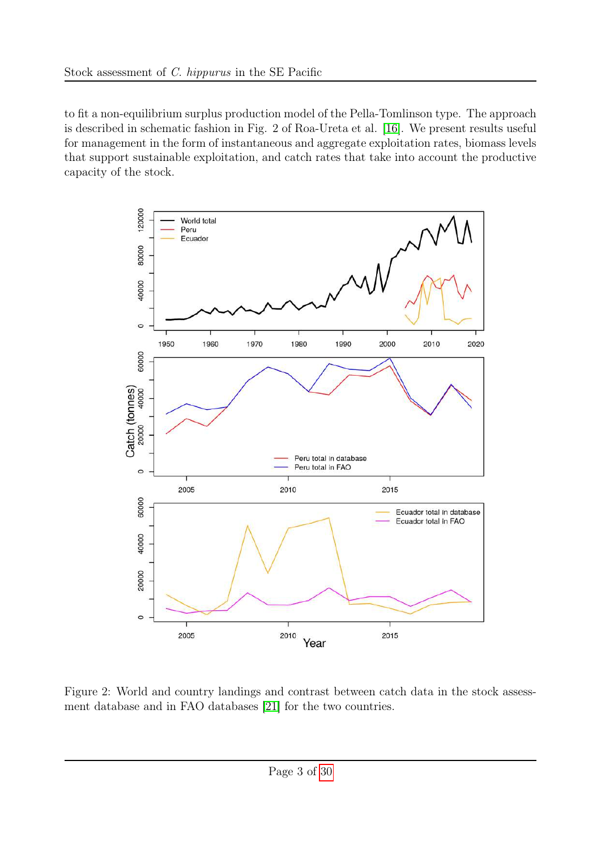to fit a non-equilibrium surplus production model of the Pella-Tomlinson type. The approach is described in schematic fashion in Fig. 2 of Roa-Ureta et al. [\[16\]](#page-37-7). We present results useful for management in the form of instantaneous and aggregate exploitation rates, biomass levels that support sustainable exploitation, and catch rates that take into account the productive capacity of the stock.

<span id="page-6-0"></span>

Figure 2: World and country landings and contrast between catch data in the stock assessment database and in FAO databases [\[21\]](#page-38-2) for the two countries.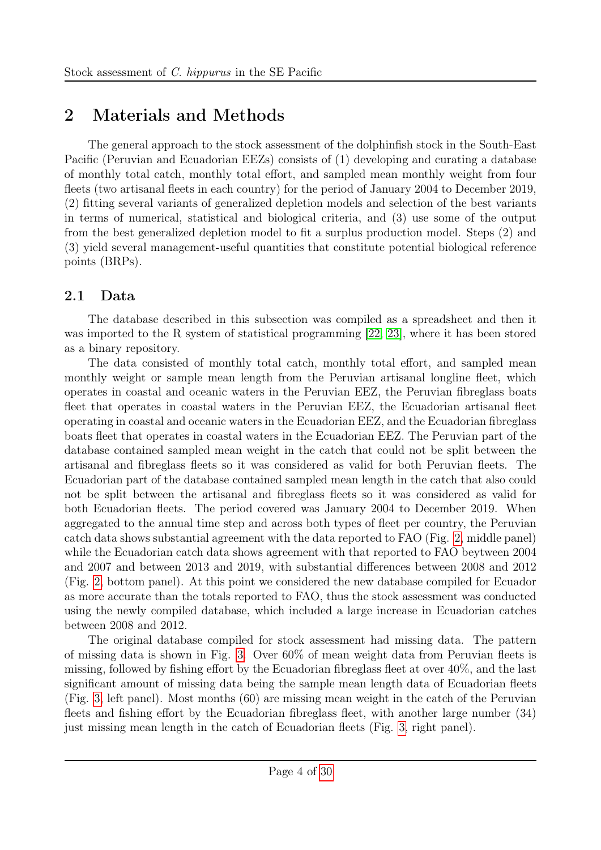## <span id="page-7-0"></span>2 Materials and Methods

The general approach to the stock assessment of the dolphinfish stock in the South-East Pacific (Peruvian and Ecuadorian EEZs) consists of (1) developing and curating a database of monthly total catch, monthly total effort, and sampled mean monthly weight from four fleets (two artisanal fleets in each country) for the period of January 2004 to December 2019, (2) fitting several variants of generalized depletion models and selection of the best variants in terms of numerical, statistical and biological criteria, and (3) use some of the output from the best generalized depletion model to fit a surplus production model. Steps (2) and (3) yield several management-useful quantities that constitute potential biological reference points (BRPs).

### <span id="page-7-1"></span>2.1 Data

The database described in this subsection was compiled as a spreadsheet and then it was imported to the R system of statistical programming [\[22,](#page-38-3) [23\]](#page-38-4), where it has been stored as a binary repository.

The data consisted of monthly total catch, monthly total effort, and sampled mean monthly weight or sample mean length from the Peruvian artisanal longline fleet, which operates in coastal and oceanic waters in the Peruvian EEZ, the Peruvian fibreglass boats fleet that operates in coastal waters in the Peruvian EEZ, the Ecuadorian artisanal fleet operating in coastal and oceanic waters in the Ecuadorian EEZ, and the Ecuadorian fibreglass boats fleet that operates in coastal waters in the Ecuadorian EEZ. The Peruvian part of the database contained sampled mean weight in the catch that could not be split between the artisanal and fibreglass fleets so it was considered as valid for both Peruvian fleets. The Ecuadorian part of the database contained sampled mean length in the catch that also could not be split between the artisanal and fibreglass fleets so it was considered as valid for both Ecuadorian fleets. The period covered was January 2004 to December 2019. When aggregated to the annual time step and across both types of fleet per country, the Peruvian catch data shows substantial agreement with the data reported to FAO (Fig. [2,](#page-6-0) middle panel) while the Ecuadorian catch data shows agreement with that reported to FAO beytween 2004 and 2007 and between 2013 and 2019, with substantial differences between 2008 and 2012 (Fig. [2,](#page-6-0) bottom panel). At this point we considered the new database compiled for Ecuador as more accurate than the totals reported to FAO, thus the stock assessment was conducted using the newly compiled database, which included a large increase in Ecuadorian catches between 2008 and 2012.

The original database compiled for stock assessment had missing data. The pattern of missing data is shown in Fig. [3.](#page-8-0) Over 60% of mean weight data from Peruvian fleets is missing, followed by fishing effort by the Ecuadorian fibreglass fleet at over 40%, and the last significant amount of missing data being the sample mean length data of Ecuadorian fleets (Fig. [3,](#page-8-0) left panel). Most months (60) are missing mean weight in the catch of the Peruvian fleets and fishing effort by the Ecuadorian fibreglass fleet, with another large number (34) just missing mean length in the catch of Ecuadorian fleets (Fig. [3,](#page-8-0) right panel).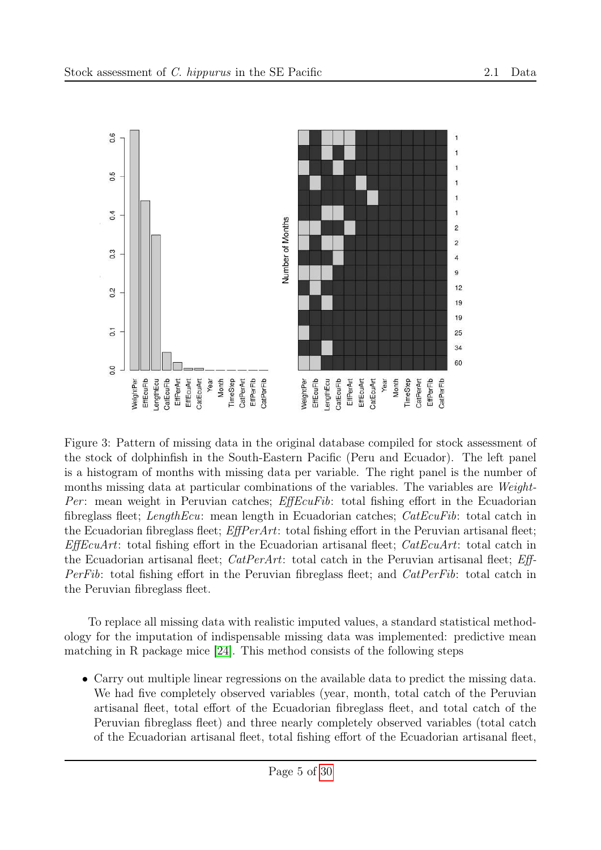<span id="page-8-0"></span>

Figure 3: Pattern of missing data in the original database compiled for stock assessment of the stock of dolphinfish in the South-Eastern Pacific (Peru and Ecuador). The left panel is a histogram of months with missing data per variable. The right panel is the number of months missing data at particular combinations of the variables. The variables are Weight-Per: mean weight in Peruvian catches;  $EffEcuFib$ : total fishing effort in the Ecuadorian fibreglass fleet; LengthEcu: mean length in Ecuadorian catches;  $CatExFib$ : total catch in the Ecuadorian fibreglass fleet;  $EffPerArt$ : total fishing effort in the Peruvian artisanal fleet;  $EffEcuArt:$  total fishing effort in the Ecuadorian artisanal fleet;  $CatEcuArt:$  total catch in the Ecuadorian artisanal fleet;  $CatPerArt$ : total catch in the Peruvian artisanal fleet;  $Eff$  $PerFib$ : total fishing effort in the Peruvian fibreglass fleet; and  $CatPerFib$ : total catch in the Peruvian fibreglass fleet.

To replace all missing data with realistic imputed values, a standard statistical methodology for the imputation of indispensable missing data was implemented: predictive mean matching in R package mice [\[24\]](#page-38-5). This method consists of the following steps

• Carry out multiple linear regressions on the available data to predict the missing data. We had five completely observed variables (year, month, total catch of the Peruvian artisanal fleet, total effort of the Ecuadorian fibreglass fleet, and total catch of the Peruvian fibreglass fleet) and three nearly completely observed variables (total catch of the Ecuadorian artisanal fleet, total fishing effort of the Ecuadorian artisanal fleet,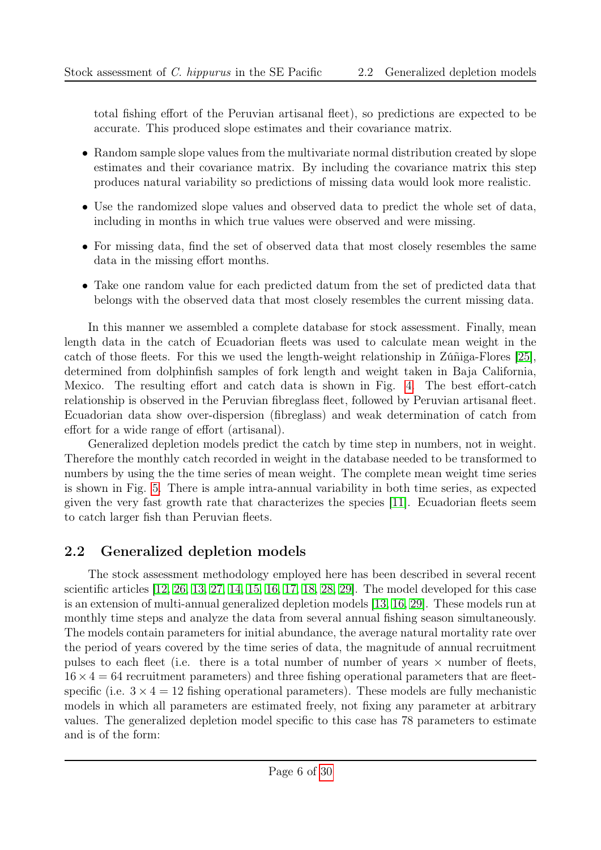total fishing effort of the Peruvian artisanal fleet), so predictions are expected to be accurate. This produced slope estimates and their covariance matrix.

- Random sample slope values from the multivariate normal distribution created by slope estimates and their covariance matrix. By including the covariance matrix this step produces natural variability so predictions of missing data would look more realistic.
- Use the randomized slope values and observed data to predict the whole set of data, including in months in which true values were observed and were missing.
- For missing data, find the set of observed data that most closely resembles the same data in the missing effort months.
- Take one random value for each predicted datum from the set of predicted data that belongs with the observed data that most closely resembles the current missing data.

In this manner we assembled a complete database for stock assessment. Finally, mean length data in the catch of Ecuadorian fleets was used to calculate mean weight in the catch of those fleets. For this we used the length-weight relationship in Zúñiga-Flores [\[25\]](#page-38-6), determined from dolphinfish samples of fork length and weight taken in Baja California, Mexico. The resulting effort and catch data is shown in Fig. [4.](#page-10-0) The best effort-catch relationship is observed in the Peruvian fibreglass fleet, followed by Peruvian artisanal fleet. Ecuadorian data show over-dispersion (fibreglass) and weak determination of catch from effort for a wide range of effort (artisanal).

Generalized depletion models predict the catch by time step in numbers, not in weight. Therefore the monthly catch recorded in weight in the database needed to be transformed to numbers by using the the time series of mean weight. The complete mean weight time series is shown in Fig. [5.](#page-11-0) There is ample intra-annual variability in both time series, as expected given the very fast growth rate that characterizes the species [\[11\]](#page-37-2). Ecuadorian fleets seem to catch larger fish than Peruvian fleets.

### <span id="page-9-0"></span>2.2 Generalized depletion models

The stock assessment methodology employed here has been described in several recent scientific articles [\[12,](#page-37-3) [26,](#page-38-7) [13,](#page-37-4) [27,](#page-38-8) [14,](#page-37-5) [15,](#page-37-6) [16,](#page-37-7) [17,](#page-37-8) [18,](#page-37-9) [28,](#page-38-9) [29\]](#page-38-10). The model developed for this case is an extension of multi-annual generalized depletion models [\[13,](#page-37-4) [16,](#page-37-7) [29\]](#page-38-10). These models run at monthly time steps and analyze the data from several annual fishing season simultaneously. The models contain parameters for initial abundance, the average natural mortality rate over the period of years covered by the time series of data, the magnitude of annual recruitment pulses to each fleet (i.e. there is a total number of number of years  $\times$  number of fleets,  $16\times4=64$  recruitment parameters) and three fishing operational parameters that are fleetspecific (i.e.  $3 \times 4 = 12$  fishing operational parameters). These models are fully mechanistic models in which all parameters are estimated freely, not fixing any parameter at arbitrary values. The generalized depletion model specific to this case has 78 parameters to estimate and is of the form: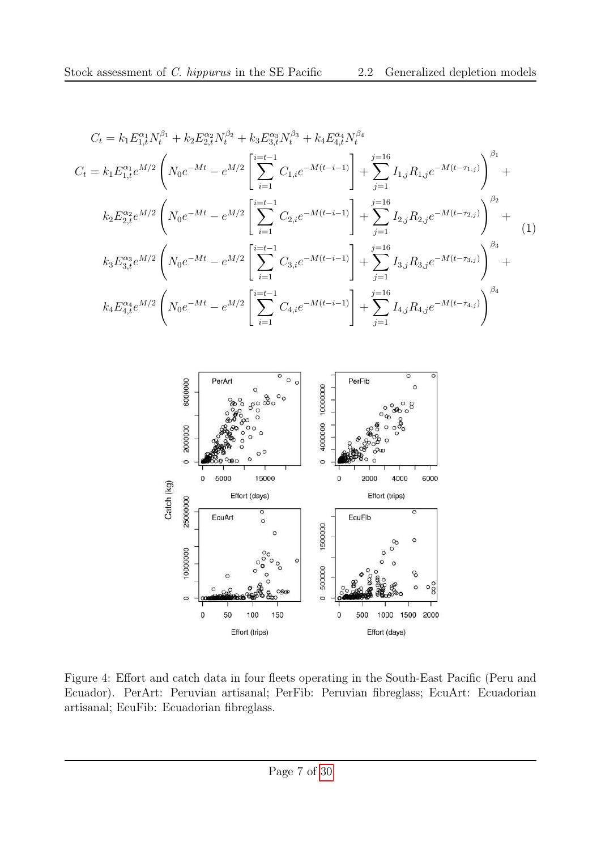$$
C_{t} = k_{1} E_{1,t}^{\alpha_{1}} N_{t}^{\beta_{1}} + k_{2} E_{2,t}^{\alpha_{2}} N_{t}^{\beta_{2}} + k_{3} E_{3,t}^{\alpha_{3}} N_{t}^{\beta_{3}} + k_{4} E_{4,t}^{\alpha_{4}} N_{t}^{\beta_{4}}
$$
  
\n
$$
C_{t} = k_{1} E_{1,t}^{\alpha_{1}} e^{M/2} \left( N_{0} e^{-Mt} - e^{M/2} \left[ \sum_{i=1}^{i=t-1} C_{1,i} e^{-M(t-i-1)} \right] + \sum_{j=1}^{j=16} I_{1,j} R_{1,j} e^{-M(t-\tau_{1,j})} \right)^{\beta_{1}} +
$$
  
\n
$$
k_{2} E_{2,t}^{\alpha_{2}} e^{M/2} \left( N_{0} e^{-Mt} - e^{M/2} \left[ \sum_{i=1}^{i=t-1} C_{2,i} e^{-M(t-i-1)} \right] + \sum_{j=1}^{j=16} I_{2,j} R_{2,j} e^{-M(t-\tau_{2,j})} \right)^{\beta_{2}} +
$$
  
\n
$$
k_{3} E_{3,t}^{\alpha_{3}} e^{M/2} \left( N_{0} e^{-Mt} - e^{M/2} \left[ \sum_{i=1}^{i=t-1} C_{3,i} e^{-M(t-i-1)} \right] + \sum_{j=1}^{j=16} I_{3,j} R_{3,j} e^{-M(t-\tau_{3,j})} \right)^{\beta_{3}} +
$$
  
\n
$$
k_{4} E_{4,t}^{\alpha_{4}} e^{M/2} \left( N_{0} e^{-Mt} - e^{M/2} \left[ \sum_{i=1}^{i=t-1} C_{4,i} e^{-M(t-i-1)} \right] + \sum_{j=1}^{j=16} I_{4,j} R_{4,j} e^{-M(t-\tau_{4,j})} \right)^{\beta_{4}}
$$

<span id="page-10-1"></span><span id="page-10-0"></span>

Figure 4: Effort and catch data in four fleets operating in the South-East Pacific (Peru and Ecuador). PerArt: Peruvian artisanal; PerFib: Peruvian fibreglass; EcuArt: Ecuadorian artisanal; EcuFib: Ecuadorian fibreglass.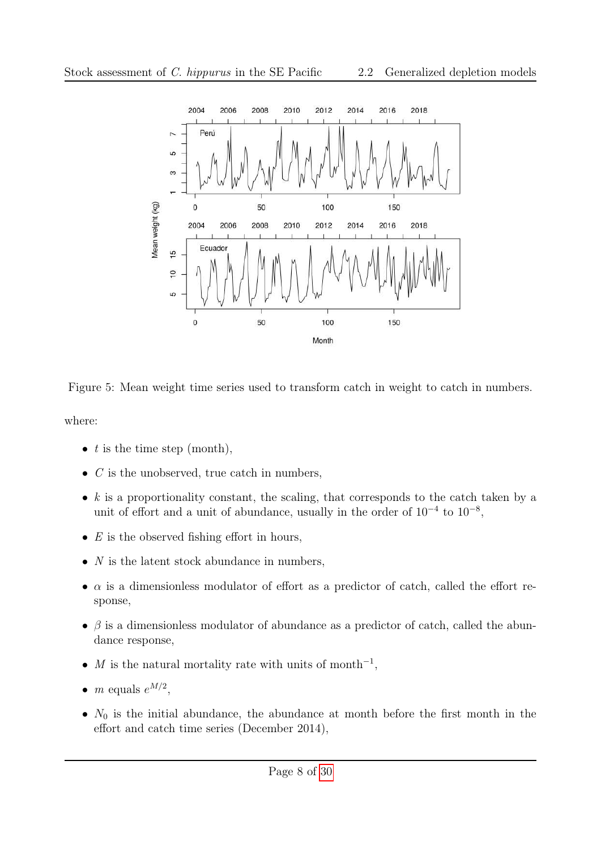<span id="page-11-0"></span>

Figure 5: Mean weight time series used to transform catch in weight to catch in numbers. where:

- $t$  is the time step (month).
- $\bullet$  *C* is the unobserved, true catch in numbers,
- $k$  is a proportionality constant, the scaling, that corresponds to the catch taken by a unit of effort and a unit of abundance, usually in the order of  $10^{-4}$  to  $10^{-8}$ ,
- $E$  is the observed fishing effort in hours,
- $N$  is the latent stock abundance in numbers,
- $\alpha$  is a dimensionless modulator of effort as a predictor of catch, called the effort response,
- $\bullet$  β is a dimensionless modulator of abundance as a predictor of catch, called the abundance response,
- M is the natural mortality rate with units of month<sup>-1</sup>,
- *m* equals  $e^{M/2}$ ,
- $N_0$  is the initial abundance, the abundance at month before the first month in the effort and catch time series (December 2014),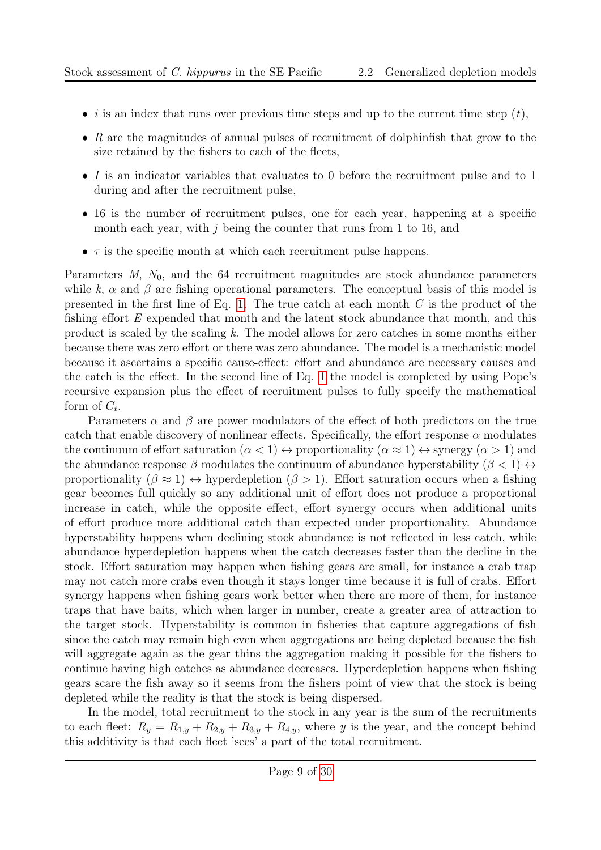- i is an index that runs over previous time steps and up to the current time step  $(t)$ ,
- R are the magnitudes of annual pulses of recruitment of dolphinfish that grow to the size retained by the fishers to each of the fleets,
- I is an indicator variables that evaluates to 0 before the recruitment pulse and to 1 during and after the recruitment pulse,
- 16 is the number of recruitment pulses, one for each year, happening at a specific month each year, with  $j$  being the counter that runs from 1 to 16, and
- $\tau$  is the specific month at which each recruitment pulse happens.

Parameters  $M$ ,  $N_0$ , and the 64 recruitment magnitudes are stock abundance parameters while k,  $\alpha$  and  $\beta$  are fishing operational parameters. The conceptual basis of this model is presented in the first line of Eq. [1.](#page-10-1) The true catch at each month  $C$  is the product of the fishing effort E expended that month and the latent stock abundance that month, and this product is scaled by the scaling k. The model allows for zero catches in some months either because there was zero effort or there was zero abundance. The model is a mechanistic model because it ascertains a specific cause-effect: effort and abundance are necessary causes and the catch is the effect. In the second line of Eq. [1](#page-10-1) the model is completed by using Pope's recursive expansion plus the effect of recruitment pulses to fully specify the mathematical form of  $C_t$ .

Parameters  $\alpha$  and  $\beta$  are power modulators of the effect of both predictors on the true catch that enable discovery of nonlinear effects. Specifically, the effort response  $\alpha$  modulates the continuum of effort saturation  $(\alpha < 1) \leftrightarrow$  proportionality  $(\alpha \approx 1) \leftrightarrow$  synergy  $(\alpha > 1)$  and the abundance response  $\beta$  modulates the continuum of abundance hyperstability  $(\beta < 1) \leftrightarrow$ proportionality  $(\beta \approx 1) \leftrightarrow$  hyperdepletion  $(\beta > 1)$ . Effort saturation occurs when a fishing gear becomes full quickly so any additional unit of effort does not produce a proportional increase in catch, while the opposite effect, effort synergy occurs when additional units of effort produce more additional catch than expected under proportionality. Abundance hyperstability happens when declining stock abundance is not reflected in less catch, while abundance hyperdepletion happens when the catch decreases faster than the decline in the stock. Effort saturation may happen when fishing gears are small, for instance a crab trap may not catch more crabs even though it stays longer time because it is full of crabs. Effort synergy happens when fishing gears work better when there are more of them, for instance traps that have baits, which when larger in number, create a greater area of attraction to the target stock. Hyperstability is common in fisheries that capture aggregations of fish since the catch may remain high even when aggregations are being depleted because the fish will aggregate again as the gear thins the aggregation making it possible for the fishers to continue having high catches as abundance decreases. Hyperdepletion happens when fishing gears scare the fish away so it seems from the fishers point of view that the stock is being depleted while the reality is that the stock is being dispersed.

In the model, total recruitment to the stock in any year is the sum of the recruitments to each fleet:  $R_y = R_{1,y} + R_{2,y} + R_{3,y} + R_{4,y}$ , where y is the year, and the concept behind this additivity is that each fleet 'sees' a part of the total recruitment.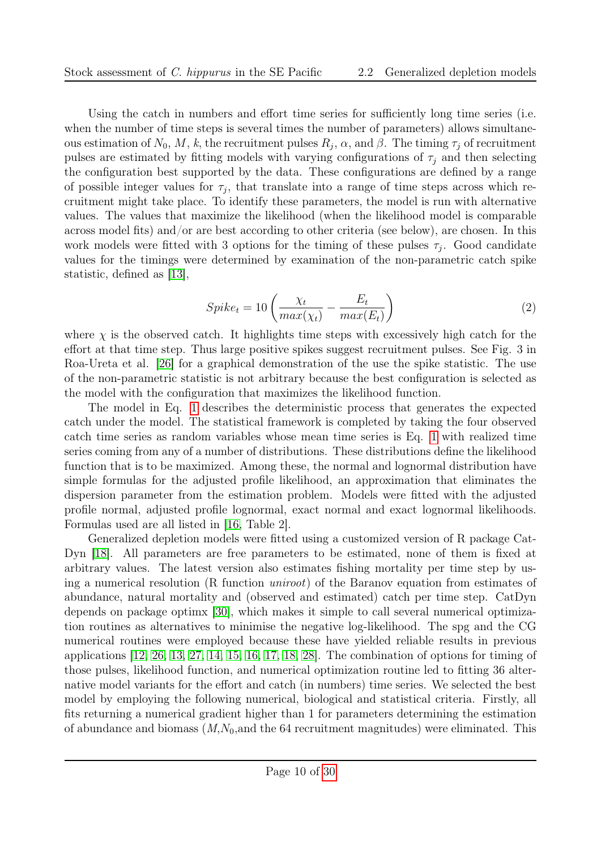Using the catch in numbers and effort time series for sufficiently long time series (i.e. when the number of time steps is several times the number of parameters) allows simultaneous estimation of  $N_0$ , M, k, the recruitment pulses  $R_j$ ,  $\alpha$ , and  $\beta$ . The timing  $\tau_j$  of recruitment pulses are estimated by fitting models with varying configurations of  $\tau_j$  and then selecting the configuration best supported by the data. These configurations are defined by a range of possible integer values for  $\tau_j$ , that translate into a range of time steps across which recruitment might take place. To identify these parameters, the model is run with alternative values. The values that maximize the likelihood (when the likelihood model is comparable across model fits) and/or are best according to other criteria (see below), are chosen. In this work models were fitted with 3 options for the timing of these pulses  $\tau_j$ . Good candidate values for the timings were determined by examination of the non-parametric catch spike statistic, defined as [\[13\]](#page-37-4),

$$
Spike_t = 10\left(\frac{\chi_t}{max(\chi_t)} - \frac{E_t}{max(E_t)}\right) \tag{2}
$$

where  $\chi$  is the observed catch. It highlights time steps with excessively high catch for the effort at that time step. Thus large positive spikes suggest recruitment pulses. See Fig. 3 in Roa-Ureta et al. [\[26\]](#page-38-7) for a graphical demonstration of the use the spike statistic. The use of the non-parametric statistic is not arbitrary because the best configuration is selected as the model with the configuration that maximizes the likelihood function.

The model in Eq. [1](#page-10-1) describes the deterministic process that generates the expected catch under the model. The statistical framework is completed by taking the four observed catch time series as random variables whose mean time series is Eq. [1](#page-10-1) with realized time series coming from any of a number of distributions. These distributions define the likelihood function that is to be maximized. Among these, the normal and lognormal distribution have simple formulas for the adjusted profile likelihood, an approximation that eliminates the dispersion parameter from the estimation problem. Models were fitted with the adjusted profile normal, adjusted profile lognormal, exact normal and exact lognormal likelihoods. Formulas used are all listed in [\[16,](#page-37-7) Table 2].

Generalized depletion models were fitted using a customized version of R package Cat-Dyn [\[18\]](#page-37-9). All parameters are free parameters to be estimated, none of them is fixed at arbitrary values. The latest version also estimates fishing mortality per time step by using a numerical resolution (R function uniroot) of the Baranov equation from estimates of abundance, natural mortality and (observed and estimated) catch per time step. CatDyn depends on package optimx [\[30\]](#page-38-11), which makes it simple to call several numerical optimization routines as alternatives to minimise the negative log-likelihood. The spg and the CG numerical routines were employed because these have yielded reliable results in previous applications [\[12,](#page-37-3) [26,](#page-38-7) [13,](#page-37-4) [27,](#page-38-8) [14,](#page-37-5) [15,](#page-37-6) [16,](#page-37-7) [17,](#page-37-8) [18,](#page-37-9) [28\]](#page-38-9). The combination of options for timing of those pulses, likelihood function, and numerical optimization routine led to fitting 36 alternative model variants for the effort and catch (in numbers) time series. We selected the best model by employing the following numerical, biological and statistical criteria. Firstly, all fits returning a numerical gradient higher than 1 for parameters determining the estimation of abundance and biomass  $(M, N_0, M_0)$  and the 64 recruitment magnitudes) were eliminated. This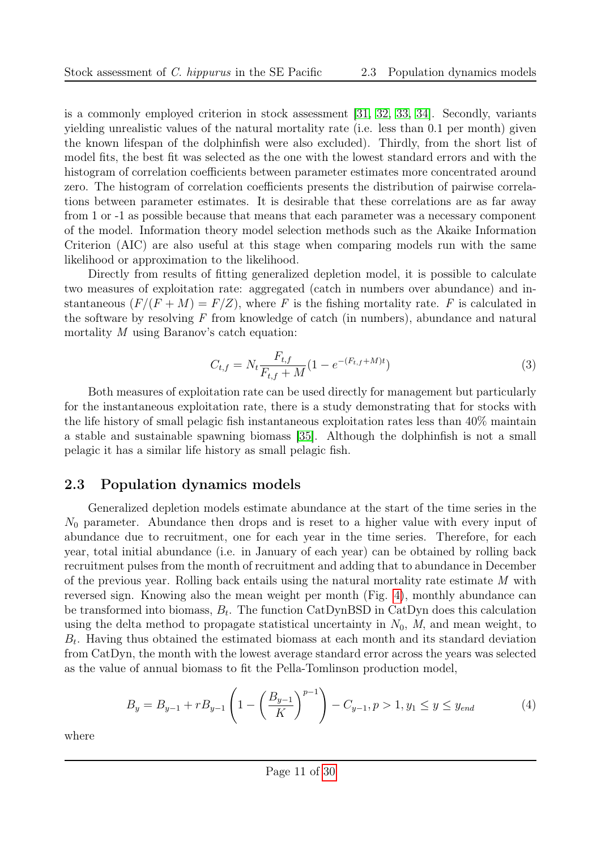is a commonly employed criterion in stock assessment [\[31,](#page-39-0) [32,](#page-39-1) [33,](#page-39-2) [34\]](#page-39-3). Secondly, variants yielding unrealistic values of the natural mortality rate (i.e. less than 0.1 per month) given the known lifespan of the dolphinfish were also excluded). Thirdly, from the short list of model fits, the best fit was selected as the one with the lowest standard errors and with the histogram of correlation coefficients between parameter estimates more concentrated around zero. The histogram of correlation coefficients presents the distribution of pairwise correlations between parameter estimates. It is desirable that these correlations are as far away from 1 or -1 as possible because that means that each parameter was a necessary component of the model. Information theory model selection methods such as the Akaike Information Criterion (AIC) are also useful at this stage when comparing models run with the same likelihood or approximation to the likelihood.

Directly from results of fitting generalized depletion model, it is possible to calculate two measures of exploitation rate: aggregated (catch in numbers over abundance) and instantaneous  $(F/(F + M) = F/Z)$ , where F is the fishing mortality rate. F is calculated in the software by resolving  $F$  from knowledge of catch (in numbers), abundance and natural mortality M using Baranov's catch equation:

$$
C_{t,f} = N_t \frac{F_{t,f}}{F_{t,f} + M} (1 - e^{-(F_{t,f} + M)t})
$$
\n(3)

Both measures of exploitation rate can be used directly for management but particularly for the instantaneous exploitation rate, there is a study demonstrating that for stocks with the life history of small pelagic fish instantaneous exploitation rates less than 40% maintain a stable and sustainable spawning biomass [\[35\]](#page-39-4). Although the dolphinfish is not a small pelagic it has a similar life history as small pelagic fish.

#### <span id="page-14-0"></span>2.3 Population dynamics models

Generalized depletion models estimate abundance at the start of the time series in the  $N_0$  parameter. Abundance then drops and is reset to a higher value with every input of abundance due to recruitment, one for each year in the time series. Therefore, for each year, total initial abundance (i.e. in January of each year) can be obtained by rolling back recruitment pulses from the month of recruitment and adding that to abundance in December of the previous year. Rolling back entails using the natural mortality rate estimate M with reversed sign. Knowing also the mean weight per month (Fig. [4\)](#page-10-0), monthly abundance can be transformed into biomass,  $B_t$ . The function CatDynBSD in CatDyn does this calculation using the delta method to propagate statistical uncertainty in  $N_0$ ,  $M$ , and mean weight, to  $B_t$ . Having thus obtained the estimated biomass at each month and its standard deviation from CatDyn, the month with the lowest average standard error across the years was selected as the value of annual biomass to fit the Pella-Tomlinson production model,

<span id="page-14-1"></span>
$$
B_y = B_{y-1} + rB_{y-1} \left( 1 - \left( \frac{B_{y-1}}{K} \right)^{p-1} \right) - C_{y-1}, p > 1, y_1 \le y \le y_{end}
$$
 (4)

where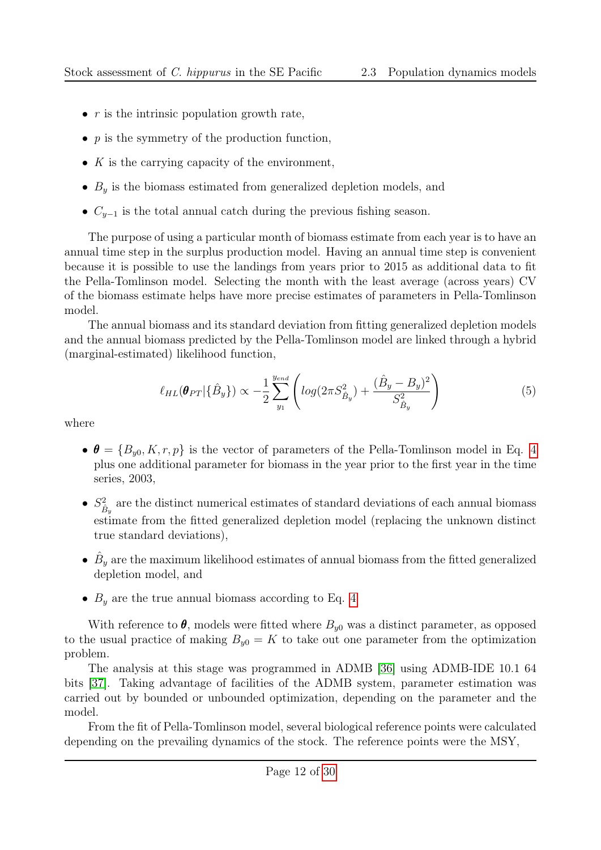- $r$  is the intrinsic population growth rate,
- $p$  is the symmetry of the production function,
- $K$  is the carrying capacity of the environment,
- $B<sub>y</sub>$  is the biomass estimated from generalized depletion models, and
- $C_{y-1}$  is the total annual catch during the previous fishing season.

The purpose of using a particular month of biomass estimate from each year is to have an annual time step in the surplus production model. Having an annual time step is convenient because it is possible to use the landings from years prior to 2015 as additional data to fit the Pella-Tomlinson model. Selecting the month with the least average (across years) CV of the biomass estimate helps have more precise estimates of parameters in Pella-Tomlinson model.

The annual biomass and its standard deviation from fitting generalized depletion models and the annual biomass predicted by the Pella-Tomlinson model are linked through a hybrid (marginal-estimated) likelihood function,

<span id="page-15-0"></span>
$$
\ell_{HL}(\pmb{\theta}_{PT}|\{\hat{B}_y\}) \propto -\frac{1}{2} \sum_{y_1}^{y_{end}} \left( \log(2\pi S_{\hat{B}_y}^2) + \frac{(\hat{B}_y - B_y)^2}{S_{\hat{B}_y}^2} \right)
$$
(5)

where

- $\theta = \{B_{y0}, K, r, p\}$  is the vector of parameters of the Pella-Tomlinson model in Eq. [4](#page-14-1) plus one additional parameter for biomass in the year prior to the first year in the time series, 2003,
- $S^2_{\hat{B}_y}$  are the distinct numerical estimates of standard deviations of each annual biomass estimate from the fitted generalized depletion model (replacing the unknown distinct true standard deviations),
- $\hat{B}_y$  are the maximum likelihood estimates of annual biomass from the fitted generalized depletion model, and
- $B<sub>y</sub>$  are the true annual biomass according to Eq. [4](#page-14-1)

With reference to  $\theta$ , models were fitted where  $B_{y0}$  was a distinct parameter, as opposed to the usual practice of making  $B_{y0} = K$  to take out one parameter from the optimization problem.

The analysis at this stage was programmed in ADMB [\[36\]](#page-39-5) using ADMB-IDE 10.1 64 bits [\[37\]](#page-39-6). Taking advantage of facilities of the ADMB system, parameter estimation was carried out by bounded or unbounded optimization, depending on the parameter and the model.

From the fit of Pella-Tomlinson model, several biological reference points were calculated depending on the prevailing dynamics of the stock. The reference points were the MSY,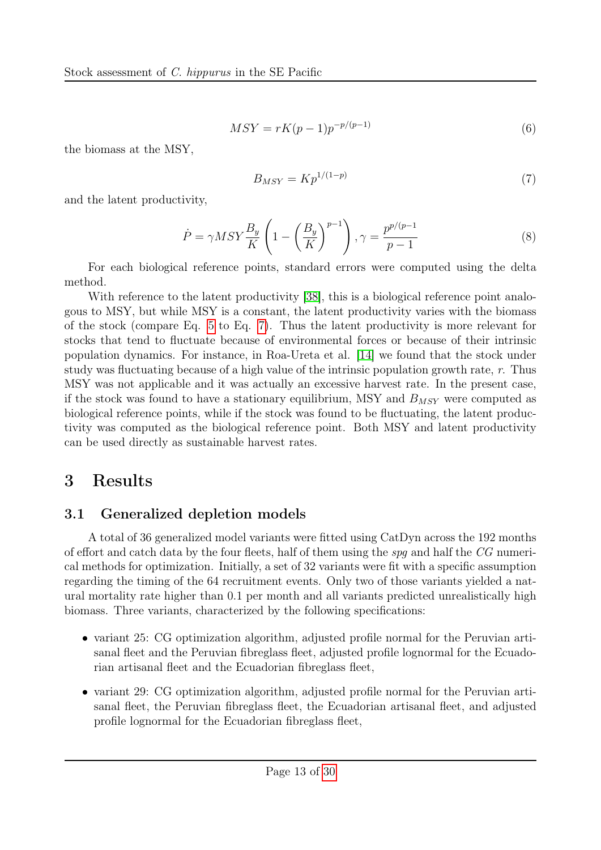<span id="page-16-3"></span>
$$
MSY = rK(p-1)p^{-p/(p-1)}
$$
\n(6)

the biomass at the MSY,

<span id="page-16-2"></span>
$$
B_{MSY} = Kp^{1/(1-p)}\tag{7}
$$

and the latent productivity,

<span id="page-16-4"></span>
$$
\dot{P} = \gamma MSY \frac{B_y}{K} \left( 1 - \left( \frac{B_y}{K} \right)^{p-1} \right), \gamma = \frac{p^{p/(p-1)}}{p-1}
$$
\n(8)

For each biological reference points, standard errors were computed using the delta method.

With reference to the latent productivity [\[38\]](#page-39-7), this is a biological reference point analogous to MSY, but while MSY is a constant, the latent productivity varies with the biomass of the stock (compare Eq. [5](#page-15-0) to Eq. [7\)](#page-16-2). Thus the latent productivity is more relevant for stocks that tend to fluctuate because of environmental forces or because of their intrinsic population dynamics. For instance, in Roa-Ureta et al. [\[14\]](#page-37-5) we found that the stock under study was fluctuating because of a high value of the intrinsic population growth rate, r. Thus MSY was not applicable and it was actually an excessive harvest rate. In the present case, if the stock was found to have a stationary equilibrium, MSY and  $B_{MSY}$  were computed as biological reference points, while if the stock was found to be fluctuating, the latent productivity was computed as the biological reference point. Both MSY and latent productivity can be used directly as sustainable harvest rates.

### <span id="page-16-0"></span>3 Results

### <span id="page-16-1"></span>3.1 Generalized depletion models

A total of 36 generalized model variants were fitted using CatDyn across the 192 months of effort and catch data by the four fleets, half of them using the spq and half the  $CG$  numerical methods for optimization. Initially, a set of 32 variants were fit with a specific assumption regarding the timing of the 64 recruitment events. Only two of those variants yielded a natural mortality rate higher than 0.1 per month and all variants predicted unrealistically high biomass. Three variants, characterized by the following specifications:

- variant 25: CG optimization algorithm, adjusted profile normal for the Peruvian artisanal fleet and the Peruvian fibreglass fleet, adjusted profile lognormal for the Ecuadorian artisanal fleet and the Ecuadorian fibreglass fleet,
- variant 29: CG optimization algorithm, adjusted profile normal for the Peruvian artisanal fleet, the Peruvian fibreglass fleet, the Ecuadorian artisanal fleet, and adjusted profile lognormal for the Ecuadorian fibreglass fleet,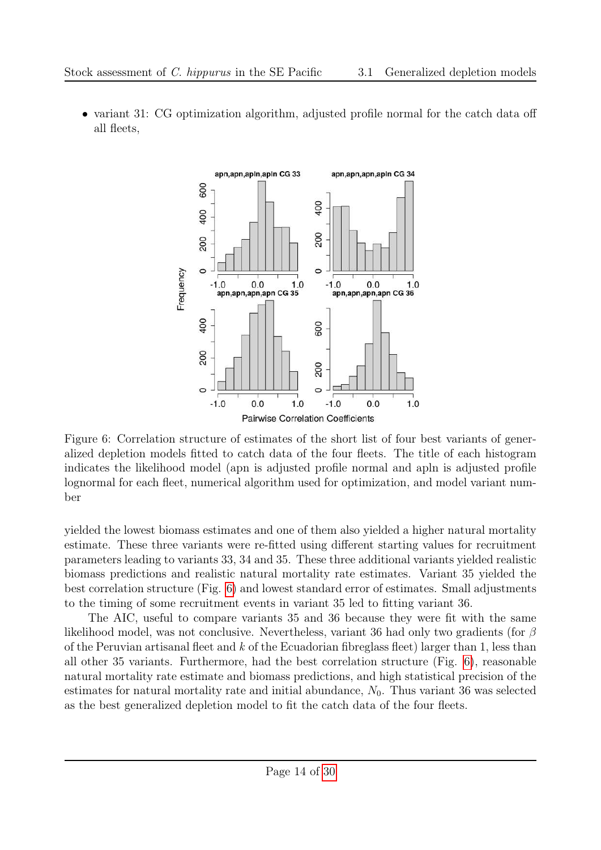<span id="page-17-0"></span>• variant 31: CG optimization algorithm, adjusted profile normal for the catch data off all fleets,



Figure 6: Correlation structure of estimates of the short list of four best variants of generalized depletion models fitted to catch data of the four fleets. The title of each histogram indicates the likelihood model (apn is adjusted profile normal and apln is adjusted profile lognormal for each fleet, numerical algorithm used for optimization, and model variant number

yielded the lowest biomass estimates and one of them also yielded a higher natural mortality estimate. These three variants were re-fitted using different starting values for recruitment parameters leading to variants 33, 34 and 35. These three additional variants yielded realistic biomass predictions and realistic natural mortality rate estimates. Variant 35 yielded the best correlation structure (Fig. [6\)](#page-17-0) and lowest standard error of estimates. Small adjustments to the timing of some recruitment events in variant 35 led to fitting variant 36.

The AIC, useful to compare variants 35 and 36 because they were fit with the same likelihood model, was not conclusive. Nevertheless, variant 36 had only two gradients (for  $\beta$ of the Peruvian artisanal fleet and  $k$  of the Ecuadorian fibreglass fleet) larger than 1, less than all other 35 variants. Furthermore, had the best correlation structure (Fig. [6\)](#page-17-0), reasonable natural mortality rate estimate and biomass predictions, and high statistical precision of the estimates for natural mortality rate and initial abundance,  $N_0$ . Thus variant 36 was selected as the best generalized depletion model to fit the catch data of the four fleets.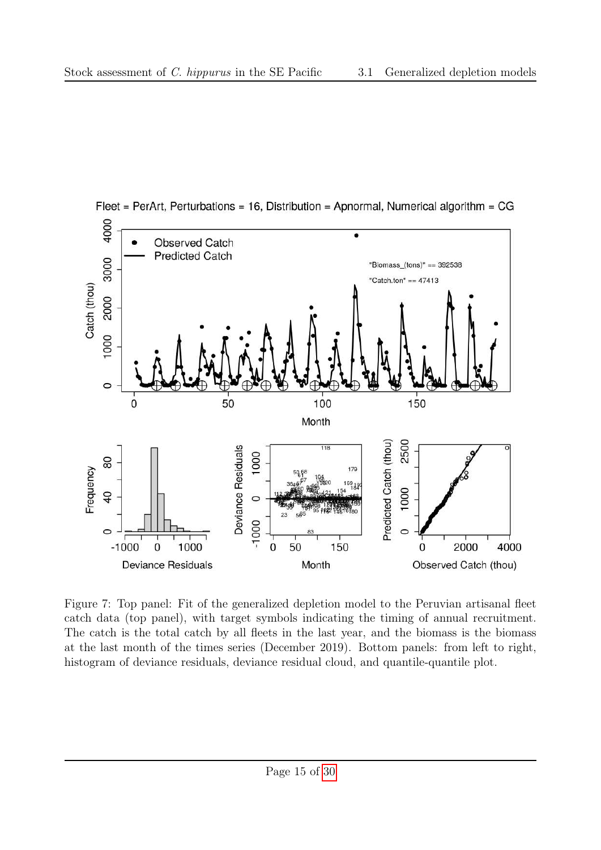<span id="page-18-0"></span>

Fleet = PerArt, Perturbations = 16, Distribution = Apnormal, Numerical algorithm =  $CG$ 

Figure 7: Top panel: Fit of the generalized depletion model to the Peruvian artisanal fleet catch data (top panel), with target symbols indicating the timing of annual recruitment. The catch is the total catch by all fleets in the last year, and the biomass is the biomass at the last month of the times series (December 2019). Bottom panels: from left to right, histogram of deviance residuals, deviance residual cloud, and quantile-quantile plot.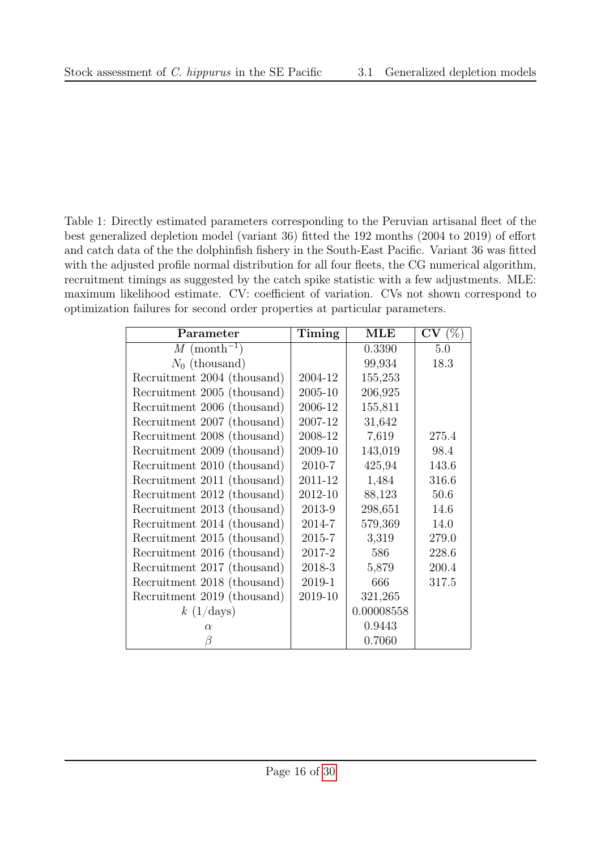<span id="page-19-0"></span>Table 1: Directly estimated parameters corresponding to the Peruvian artisanal fleet of the best generalized depletion model (variant 36) fitted the 192 months (2004 to 2019) of effort and catch data of the the dolphinfish fishery in the South-East Pacific. Variant 36 was fitted with the adjusted profile normal distribution for all four fleets, the CG numerical algorithm, recruitment timings as suggested by the catch spike statistic with a few adjustments. MLE: maximum likelihood estimate. CV: coefficient of variation. CVs not shown correspond to optimization failures for second order properties at particular parameters.

| Parameter                   | Timing  | MLE        | $\rm{CV}$<br>$(\%)$ |
|-----------------------------|---------|------------|---------------------|
| M (month <sup>-1</sup> )    |         | 0.3390     | 5.0                 |
| $N_0$ (thousand)            |         | 99,934     | 18.3                |
| Recruitment 2004 (thousand) | 2004-12 | 155,253    |                     |
| Recruitment 2005 (thousand) | 2005-10 | 206,925    |                     |
| Recruitment 2006 (thousand) | 2006-12 | 155,811    |                     |
| Recruitment 2007 (thousand) | 2007-12 | 31,642     |                     |
| Recruitment 2008 (thousand) | 2008-12 | 7,619      | 275.4               |
| Recruitment 2009 (thousand) | 2009-10 | 143,019    | 98.4                |
| Recruitment 2010 (thousand) | 2010-7  | 425,94     | 143.6               |
| Recruitment 2011 (thousand) | 2011-12 | 1,484      | 316.6               |
| Recruitment 2012 (thousand) | 2012-10 | 88,123     | 50.6                |
| Recruitment 2013 (thousand) | 2013-9  | 298,651    | 14.6                |
| Recruitment 2014 (thousand) | 2014-7  | 579,369    | 14.0                |
| Recruitment 2015 (thousand) | 2015-7  | 3,319      | 279.0               |
| Recruitment 2016 (thousand) | 2017-2  | 586        | 228.6               |
| Recruitment 2017 (thousand) | 2018-3  | 5,879      | 200.4               |
| Recruitment 2018 (thousand) | 2019-1  | 666        | 317.5               |
| Recruitment 2019 (thousand) | 2019-10 | 321,265    |                     |
| $k(1/\text{days})$          |         | 0.00008558 |                     |
| $\alpha$                    |         | 0.9443     |                     |
| В                           |         | 0.7060     |                     |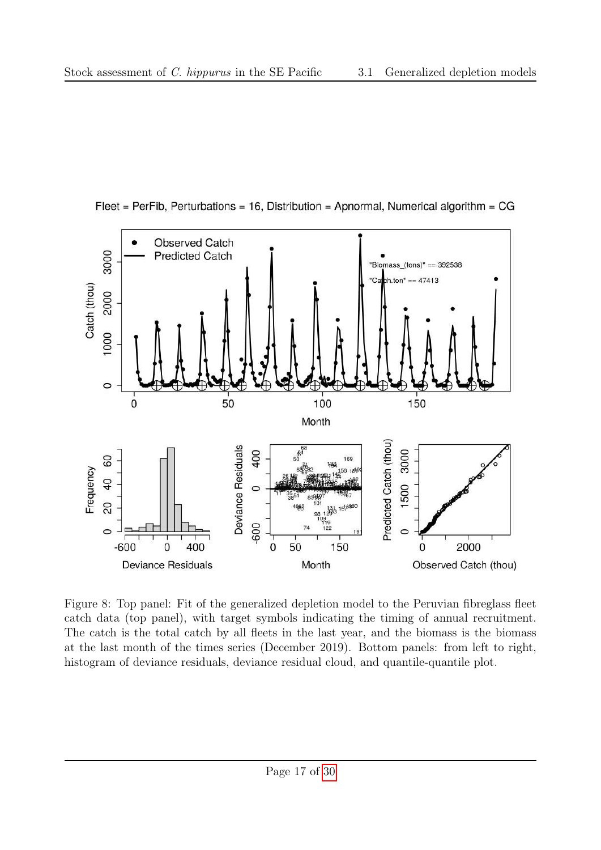<span id="page-20-0"></span>

Fleet = PerFib, Perturbations = 16, Distribution = Apnormal, Numerical algorithm =  $CG$ 

Figure 8: Top panel: Fit of the generalized depletion model to the Peruvian fibreglass fleet catch data (top panel), with target symbols indicating the timing of annual recruitment. The catch is the total catch by all fleets in the last year, and the biomass is the biomass at the last month of the times series (December 2019). Bottom panels: from left to right, histogram of deviance residuals, deviance residual cloud, and quantile-quantile plot.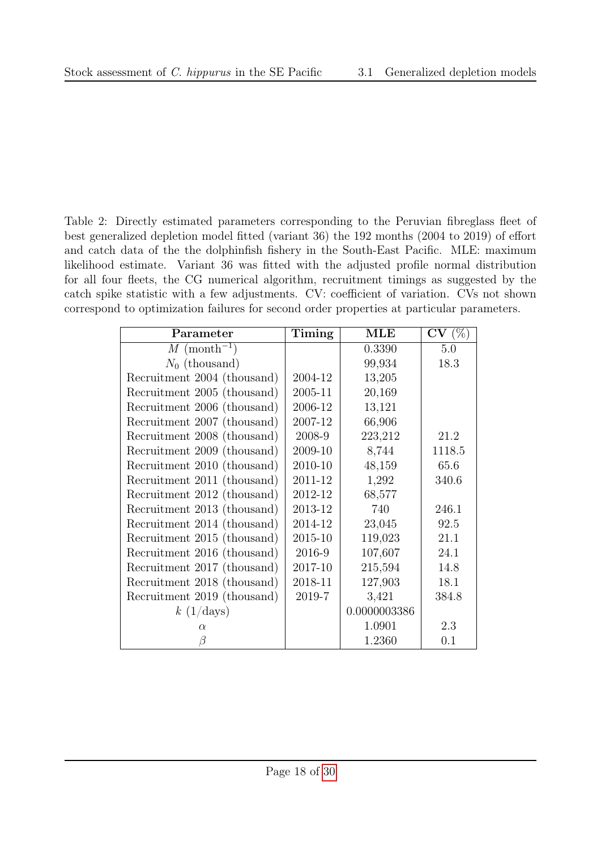<span id="page-21-0"></span>Table 2: Directly estimated parameters corresponding to the Peruvian fibreglass fleet of best generalized depletion model fitted (variant 36) the 192 months (2004 to 2019) of effort and catch data of the the dolphinfish fishery in the South-East Pacific. MLE: maximum likelihood estimate. Variant 36 was fitted with the adjusted profile normal distribution for all four fleets, the CG numerical algorithm, recruitment timings as suggested by the catch spike statistic with a few adjustments. CV: coefficient of variation. CVs not shown correspond to optimization failures for second order properties at particular parameters.

| Parameter                   | Timing  | $\operatorname{MLE}$ | $\rm\bf{CV}$<br>$(\% )$ |
|-----------------------------|---------|----------------------|-------------------------|
| M (month <sup>-1</sup> )    |         | 0.3390               | 5.0                     |
| $N_0$ (thousand)            |         | 99,934               | 18.3                    |
| Recruitment 2004 (thousand) | 2004-12 | 13,205               |                         |
| Recruitment 2005 (thousand) | 2005-11 | 20,169               |                         |
| Recruitment 2006 (thousand) | 2006-12 | 13,121               |                         |
| Recruitment 2007 (thousand) | 2007-12 | 66,906               |                         |
| Recruitment 2008 (thousand) | 2008-9  | 223,212              | 21.2                    |
| Recruitment 2009 (thousand) | 2009-10 | 8,744                | 1118.5                  |
| Recruitment 2010 (thousand) | 2010-10 | 48,159               | 65.6                    |
| Recruitment 2011 (thousand) | 2011-12 | 1,292                | 340.6                   |
| Recruitment 2012 (thousand) | 2012-12 | 68,577               |                         |
| Recruitment 2013 (thousand) | 2013-12 | 740                  | 246.1                   |
| Recruitment 2014 (thousand) | 2014-12 | 23,045               | 92.5                    |
| Recruitment 2015 (thousand) | 2015-10 | 119,023              | 21.1                    |
| Recruitment 2016 (thousand) | 2016-9  | 107,607              | 24.1                    |
| Recruitment 2017 (thousand) | 2017-10 | 215,594              | 14.8                    |
| Recruitment 2018 (thousand) | 2018-11 | 127,903              | 18.1                    |
| Recruitment 2019 (thousand) | 2019-7  | 3,421                | 384.8                   |
| $k(1/\text{days})$          |         | 0.0000003386         |                         |
| $\alpha$                    |         | 1.0901               | 2.3                     |
| ß                           |         | 1.2360               | 0.1                     |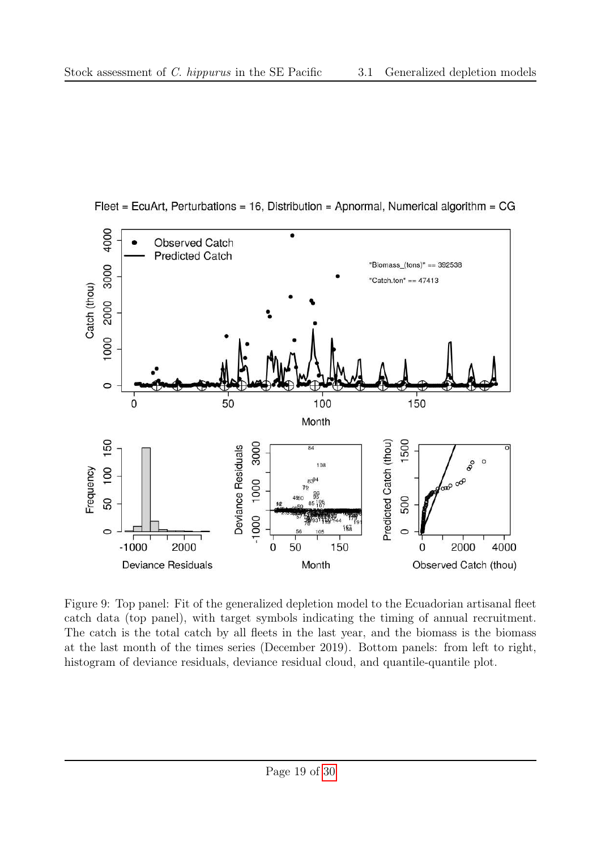<span id="page-22-0"></span>

Fleet = EcuArt, Perturbations = 16, Distribution = Apnormal, Numerical algorithm =  $CG$ 

Figure 9: Top panel: Fit of the generalized depletion model to the Ecuadorian artisanal fleet catch data (top panel), with target symbols indicating the timing of annual recruitment. The catch is the total catch by all fleets in the last year, and the biomass is the biomass at the last month of the times series (December 2019). Bottom panels: from left to right, histogram of deviance residuals, deviance residual cloud, and quantile-quantile plot.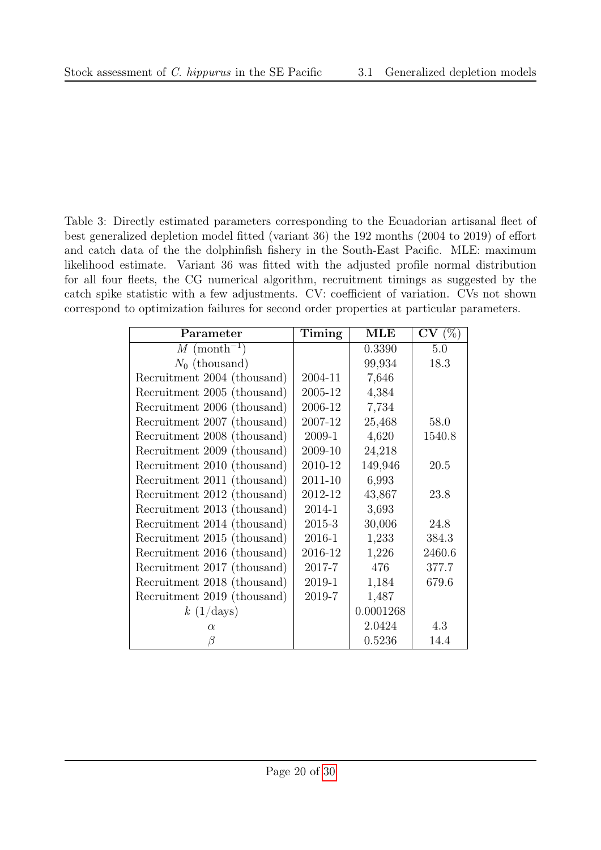<span id="page-23-0"></span>Table 3: Directly estimated parameters corresponding to the Ecuadorian artisanal fleet of best generalized depletion model fitted (variant 36) the 192 months (2004 to 2019) of effort and catch data of the the dolphinfish fishery in the South-East Pacific. MLE: maximum likelihood estimate. Variant 36 was fitted with the adjusted profile normal distribution for all four fleets, the CG numerical algorithm, recruitment timings as suggested by the catch spike statistic with a few adjustments. CV: coefficient of variation. CVs not shown correspond to optimization failures for second order properties at particular parameters.

| Parameter                   | Timing  | MLE       | $\mathrm{CV}$<br>$(\%)$ |
|-----------------------------|---------|-----------|-------------------------|
| $M$ (month <sup>-1</sup> )  |         | 0.3390    | 5.0                     |
| $N_0$ (thousand)            |         | 99,934    | 18.3                    |
| Recruitment 2004 (thousand) | 2004-11 | 7,646     |                         |
| Recruitment 2005 (thousand) | 2005-12 | 4,384     |                         |
| Recruitment 2006 (thousand) | 2006-12 | 7,734     |                         |
| Recruitment 2007 (thousand) | 2007-12 | 25,468    | 58.0                    |
| Recruitment 2008 (thousand) | 2009-1  | 4,620     | 1540.8                  |
| Recruitment 2009 (thousand) | 2009-10 | 24,218    |                         |
| Recruitment 2010 (thousand) | 2010-12 | 149,946   | 20.5                    |
| Recruitment 2011 (thousand) | 2011-10 | 6,993     |                         |
| Recruitment 2012 (thousand) | 2012-12 | 43,867    | 23.8                    |
| Recruitment 2013 (thousand) | 2014-1  | 3,693     |                         |
| Recruitment 2014 (thousand) | 2015-3  | 30,006    | 24.8                    |
| Recruitment 2015 (thousand) | 2016-1  | 1,233     | 384.3                   |
| Recruitment 2016 (thousand) | 2016-12 | 1,226     | 2460.6                  |
| Recruitment 2017 (thousand) | 2017-7  | 476       | 377.7                   |
| Recruitment 2018 (thousand) | 2019-1  | 1,184     | 679.6                   |
| Recruitment 2019 (thousand) | 2019-7  | 1,487     |                         |
| $k(1/\text{days})$          |         | 0.0001268 |                         |
| $\alpha$                    |         | 2.0424    | 4.3                     |
| B                           |         | 0.5236    | 14.4                    |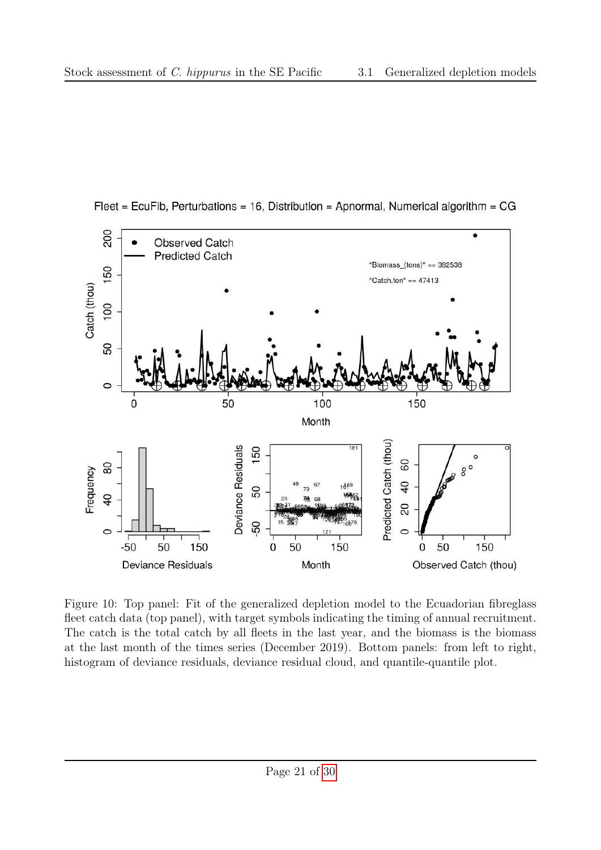<span id="page-24-0"></span>

Fleet = EcuFib, Perturbations = 16, Distribution = Apnormal, Numerical algorithm =  $CG$ 

Figure 10: Top panel: Fit of the generalized depletion model to the Ecuadorian fibreglass fleet catch data (top panel), with target symbols indicating the timing of annual recruitment. The catch is the total catch by all fleets in the last year, and the biomass is the biomass at the last month of the times series (December 2019). Bottom panels: from left to right, histogram of deviance residuals, deviance residual cloud, and quantile-quantile plot.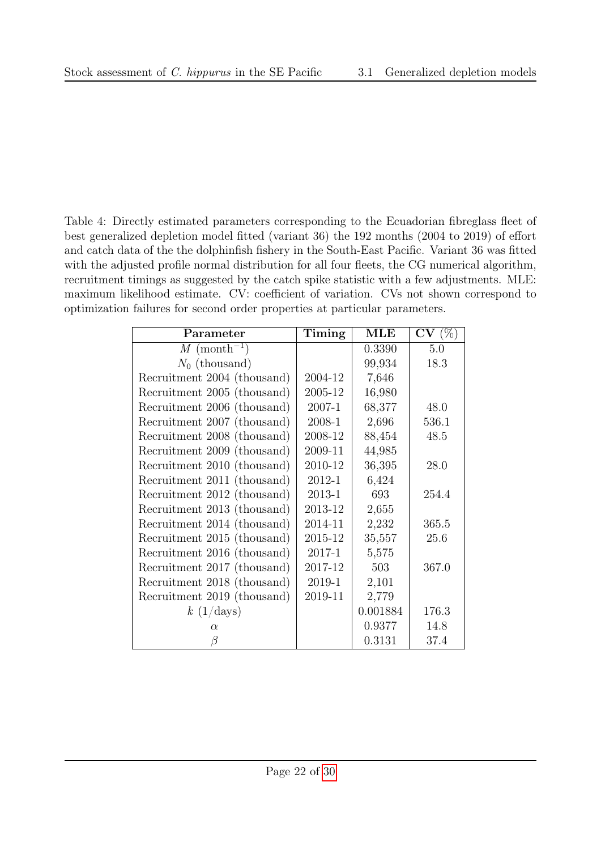<span id="page-25-0"></span>Table 4: Directly estimated parameters corresponding to the Ecuadorian fibreglass fleet of best generalized depletion model fitted (variant 36) the 192 months (2004 to 2019) of effort and catch data of the the dolphinfish fishery in the South-East Pacific. Variant 36 was fitted with the adjusted profile normal distribution for all four fleets, the CG numerical algorithm, recruitment timings as suggested by the catch spike statistic with a few adjustments. MLE: maximum likelihood estimate. CV: coefficient of variation. CVs not shown correspond to optimization failures for second order properties at particular parameters.

| Parameter                   | Timing  | $\operatorname{MLE}$ | $\mathrm{CV}^-$<br>$(\%)$ |
|-----------------------------|---------|----------------------|---------------------------|
| $M$ (month <sup>-1</sup> )  |         | 0.3390               | 5.0                       |
| $N_0$ (thousand)            |         | 99,934               | 18.3                      |
| Recruitment 2004 (thousand) | 2004-12 | 7,646                |                           |
| Recruitment 2005 (thousand) | 2005-12 | 16,980               |                           |
| Recruitment 2006 (thousand) | 2007-1  | 68,377               | 48.0                      |
| Recruitment 2007 (thousand) | 2008-1  | 2,696                | 536.1                     |
| Recruitment 2008 (thousand) | 2008-12 | 88,454               | 48.5                      |
| Recruitment 2009 (thousand) | 2009-11 | 44,985               |                           |
| Recruitment 2010 (thousand) | 2010-12 | 36,395               | 28.0                      |
| Recruitment 2011 (thousand) | 2012-1  | 6,424                |                           |
| Recruitment 2012 (thousand) | 2013-1  | 693                  | 254.4                     |
| Recruitment 2013 (thousand) | 2013-12 | 2,655                |                           |
| Recruitment 2014 (thousand) | 2014-11 | 2,232                | 365.5                     |
| Recruitment 2015 (thousand) | 2015-12 | 35,557               | 25.6                      |
| Recruitment 2016 (thousand) | 2017-1  | 5,575                |                           |
| Recruitment 2017 (thousand) | 2017-12 | 503                  | 367.0                     |
| Recruitment 2018 (thousand) | 2019-1  | 2,101                |                           |
| Recruitment 2019 (thousand) | 2019-11 | 2,779                |                           |
| $k(1/\text{days})$          |         | 0.001884             | 176.3                     |
| $\alpha$                    |         | 0.9377               | 14.8                      |
| B                           |         | 0.3131               | 37.4                      |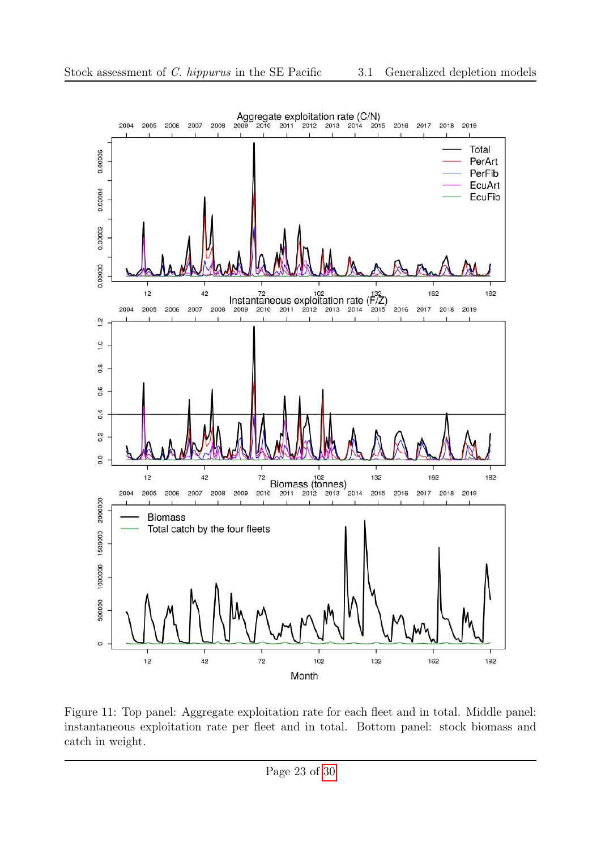<span id="page-26-0"></span>

Figure 11: Top panel: Aggregate exploitation rate for each fleet and in total. Middle panel: instantaneous exploitation rate per fleet and in total. Bottom panel: stock biomass and catch in weight.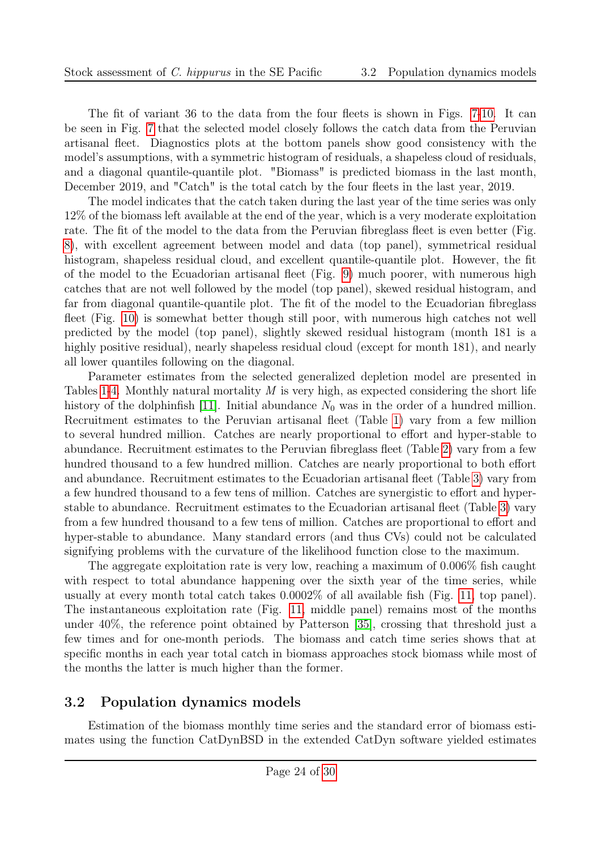The fit of variant 36 to the data from the four fleets is shown in Figs. [7-](#page-18-0)[10.](#page-24-0) It can be seen in Fig. [7](#page-18-0) that the selected model closely follows the catch data from the Peruvian artisanal fleet. Diagnostics plots at the bottom panels show good consistency with the model's assumptions, with a symmetric histogram of residuals, a shapeless cloud of residuals, and a diagonal quantile-quantile plot. "Biomass" is predicted biomass in the last month, December 2019, and "Catch" is the total catch by the four fleets in the last year, 2019.

The model indicates that the catch taken during the last year of the time series was only 12% of the biomass left available at the end of the year, which is a very moderate exploitation rate. The fit of the model to the data from the Peruvian fibreglass fleet is even better (Fig. [8\)](#page-20-0), with excellent agreement between model and data (top panel), symmetrical residual histogram, shapeless residual cloud, and excellent quantile-quantile plot. However, the fit of the model to the Ecuadorian artisanal fleet (Fig. [9\)](#page-22-0) much poorer, with numerous high catches that are not well followed by the model (top panel), skewed residual histogram, and far from diagonal quantile-quantile plot. The fit of the model to the Ecuadorian fibreglass fleet (Fig. [10\)](#page-24-0) is somewhat better though still poor, with numerous high catches not well predicted by the model (top panel), slightly skewed residual histogram (month 181 is a highly positive residual), nearly shapeless residual cloud (except for month 181), and nearly all lower quantiles following on the diagonal.

Parameter estimates from the selected generalized depletion model are presented in Tables [1-](#page-19-0)[4.](#page-25-0) Monthly natural mortality  $M$  is very high, as expected considering the short life history of the dolphinfish [\[11\]](#page-37-2). Initial abundance  $N_0$  was in the order of a hundred million. Recruitment estimates to the Peruvian artisanal fleet (Table [1\)](#page-19-0) vary from a few million to several hundred million. Catches are nearly proportional to effort and hyper-stable to abundance. Recruitment estimates to the Peruvian fibreglass fleet (Table [2\)](#page-21-0) vary from a few hundred thousand to a few hundred million. Catches are nearly proportional to both effort and abundance. Recruitment estimates to the Ecuadorian artisanal fleet (Table [3\)](#page-23-0) vary from a few hundred thousand to a few tens of million. Catches are synergistic to effort and hyperstable to abundance. Recruitment estimates to the Ecuadorian artisanal fleet (Table [3\)](#page-23-0) vary from a few hundred thousand to a few tens of million. Catches are proportional to effort and hyper-stable to abundance. Many standard errors (and thus CVs) could not be calculated signifying problems with the curvature of the likelihood function close to the maximum.

The aggregate exploitation rate is very low, reaching a maximum of 0.006% fish caught with respect to total abundance happening over the sixth year of the time series, while usually at every month total catch takes 0.0002% of all available fish (Fig. [11,](#page-26-0) top panel). The instantaneous exploitation rate (Fig. [11,](#page-26-0) middle panel) remains most of the months under 40%, the reference point obtained by Patterson [\[35\]](#page-39-4), crossing that threshold just a few times and for one-month periods. The biomass and catch time series shows that at specific months in each year total catch in biomass approaches stock biomass while most of the months the latter is much higher than the former.

#### <span id="page-27-0"></span>3.2 Population dynamics models

Estimation of the biomass monthly time series and the standard error of biomass estimates using the function CatDynBSD in the extended CatDyn software yielded estimates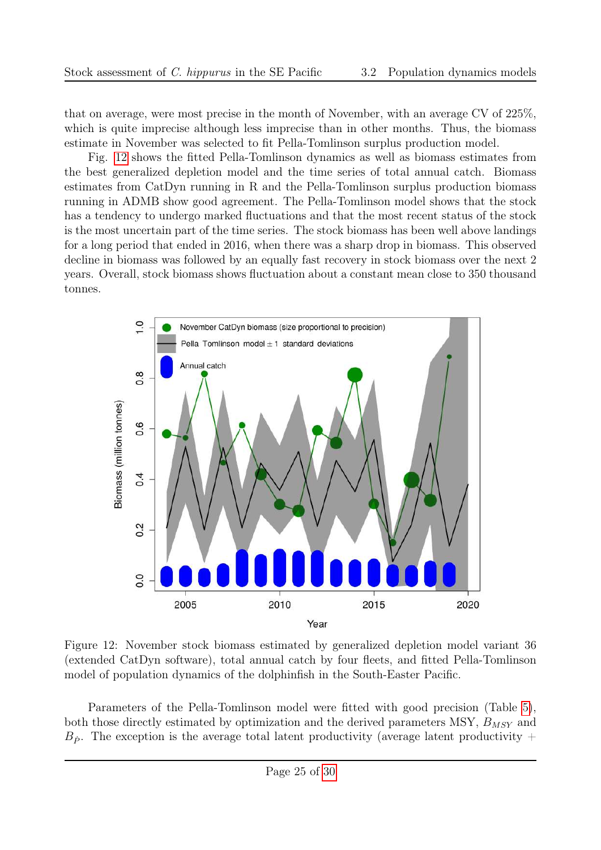that on average, were most precise in the month of November, with an average CV of 225%, which is quite imprecise although less imprecise than in other months. Thus, the biomass estimate in November was selected to fit Pella-Tomlinson surplus production model.

Fig. [12](#page-28-0) shows the fitted Pella-Tomlinson dynamics as well as biomass estimates from the best generalized depletion model and the time series of total annual catch. Biomass estimates from CatDyn running in R and the Pella-Tomlinson surplus production biomass running in ADMB show good agreement. The Pella-Tomlinson model shows that the stock has a tendency to undergo marked fluctuations and that the most recent status of the stock is the most uncertain part of the time series. The stock biomass has been well above landings for a long period that ended in 2016, when there was a sharp drop in biomass. This observed decline in biomass was followed by an equally fast recovery in stock biomass over the next 2 years. Overall, stock biomass shows fluctuation about a constant mean close to 350 thousand tonnes.

<span id="page-28-0"></span>

Figure 12: November stock biomass estimated by generalized depletion model variant 36 (extended CatDyn software), total annual catch by four fleets, and fitted Pella-Tomlinson model of population dynamics of the dolphinfish in the South-Easter Pacific.

Parameters of the Pella-Tomlinson model were fitted with good precision (Table [5\)](#page-29-1), both those directly estimated by optimization and the derived parameters MSY,  $B_{MSY}$  and  $B_{\rho}$ . The exception is the average total latent productivity (average latent productivity +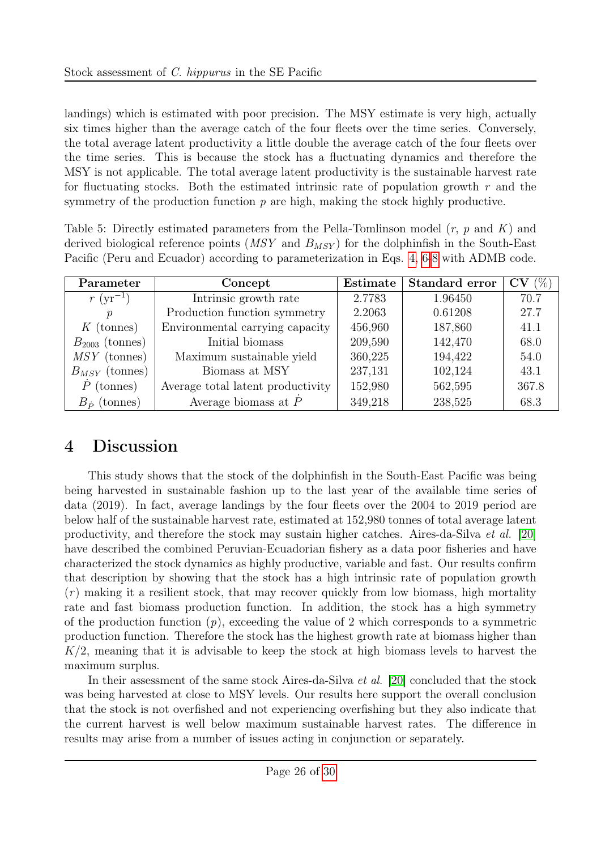landings) which is estimated with poor precision. The MSY estimate is very high, actually six times higher than the average catch of the four fleets over the time series. Conversely, the total average latent productivity a little double the average catch of the four fleets over the time series. This is because the stock has a fluctuating dynamics and therefore the MSY is not applicable. The total average latent productivity is the sustainable harvest rate for fluctuating stocks. Both the estimated intrinsic rate of population growth  $r$  and the symmetry of the production function  $p$  are high, making the stock highly productive.

<span id="page-29-1"></span>Table 5: Directly estimated parameters from the Pella-Tomlinson model  $(r, p$  and  $K)$  and derived biological reference points ( $MSY$  and  $B_{MSY}$ ) for the dolphinfish in the South-East Pacific (Peru and Ecuador) according to parameterization in Eqs. [4,](#page-14-1) [6-](#page-16-3)[8](#page-16-4) with ADMB code.

| Parameter              | Concept                           | Estimate | <b>Standard error</b> | 'H    |
|------------------------|-----------------------------------|----------|-----------------------|-------|
| $r(\text{yr}^{-1})$    | Intrinsic growth rate             | 2.7783   | 1.96450               | 70.7  |
|                        | Production function symmetry      | 2.2063   | 0.61208               | 27.7  |
| $K$ (tonnes)           | Environmental carrying capacity   | 456,960  | 187,860               | 41.1  |
| $B_{2003}$ (tonnes)    | Initial biomass                   | 209,590  | 142,470               | 68.0  |
| $MSY$ (tonnes)         | Maximum sustainable yield         | 360,225  | 194,422               | 54.0  |
| $B_{MSY}$ (tonnes)     | Biomass at MSY                    | 237,131  | 102,124               | 43.1  |
| $P$ (tonnes)           | Average total latent productivity | 152,980  | 562,595               | 367.8 |
| $B_{\dot{p}}$ (tonnes) | Average biomass at $\dot{P}$      | 349,218  | 238,525               | 68.3  |

### <span id="page-29-0"></span>4 Discussion

This study shows that the stock of the dolphinfish in the South-East Pacific was being being harvested in sustainable fashion up to the last year of the available time series of data (2019). In fact, average landings by the four fleets over the 2004 to 2019 period are below half of the sustainable harvest rate, estimated at 152,980 tonnes of total average latent productivity, and therefore the stock may sustain higher catches. Aires-da-Silva et al. [\[20\]](#page-38-1) have described the combined Peruvian-Ecuadorian fishery as a data poor fisheries and have characterized the stock dynamics as highly productive, variable and fast. Our results confirm that description by showing that the stock has a high intrinsic rate of population growth  $(r)$  making it a resilient stock, that may recover quickly from low biomass, high mortality rate and fast biomass production function. In addition, the stock has a high symmetry of the production function  $(p)$ , exceeding the value of 2 which corresponds to a symmetric production function. Therefore the stock has the highest growth rate at biomass higher than  $K/2$ , meaning that it is advisable to keep the stock at high biomass levels to harvest the maximum surplus.

In their assessment of the same stock Aires-da-Silva *et al.* [\[20\]](#page-38-1) concluded that the stock was being harvested at close to MSY levels. Our results here support the overall conclusion that the stock is not overfished and not experiencing overfishing but they also indicate that the current harvest is well below maximum sustainable harvest rates. The difference in results may arise from a number of issues acting in conjunction or separately.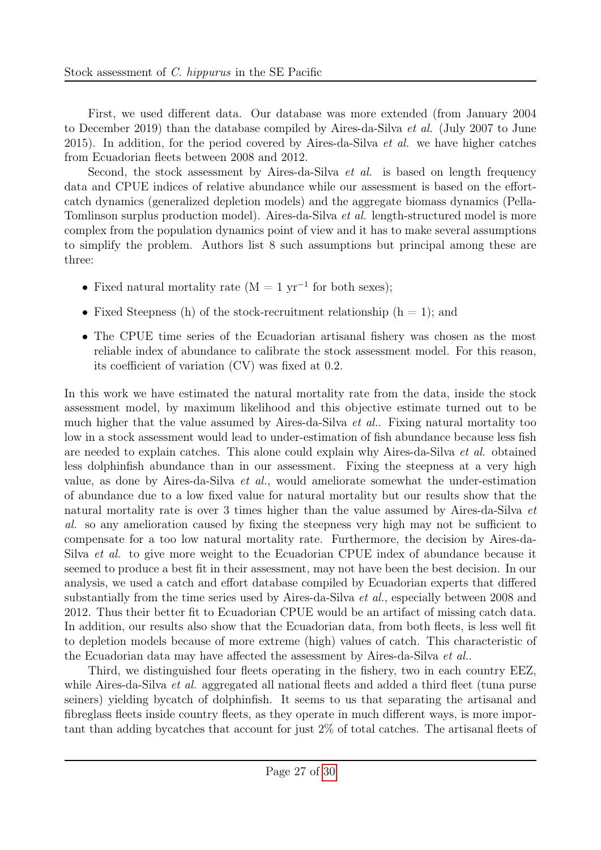First, we used different data. Our database was more extended (from January 2004 to December 2019) than the database compiled by Aires-da-Silva et al. (July 2007 to June 2015). In addition, for the period covered by Aires-da-Silva *et al.* we have higher catches from Ecuadorian fleets between 2008 and 2012.

Second, the stock assessment by Aires-da-Silva et al. is based on length frequency data and CPUE indices of relative abundance while our assessment is based on the effortcatch dynamics (generalized depletion models) and the aggregate biomass dynamics (Pella-Tomlinson surplus production model). Aires-da-Silva et al. length-structured model is more complex from the population dynamics point of view and it has to make several assumptions to simplify the problem. Authors list 8 such assumptions but principal among these are three:

- Fixed natural mortality rate  $(M = 1 \text{ yr}^{-1}$  for both sexes);
- Fixed Steepness (h) of the stock-recruitment relationship  $(h = 1)$ ; and
- The CPUE time series of the Ecuadorian artisanal fishery was chosen as the most reliable index of abundance to calibrate the stock assessment model. For this reason, its coefficient of variation (CV) was fixed at 0.2.

In this work we have estimated the natural mortality rate from the data, inside the stock assessment model, by maximum likelihood and this objective estimate turned out to be much higher that the value assumed by Aires-da-Silva et al.. Fixing natural mortality too low in a stock assessment would lead to under-estimation of fish abundance because less fish are needed to explain catches. This alone could explain why Aires-da-Silva et al. obtained less dolphinfish abundance than in our assessment. Fixing the steepness at a very high value, as done by Aires-da-Silva et al., would ameliorate somewhat the under-estimation of abundance due to a low fixed value for natural mortality but our results show that the natural mortality rate is over 3 times higher than the value assumed by Aires-da-Silva et al. so any amelioration caused by fixing the steepness very high may not be sufficient to compensate for a too low natural mortality rate. Furthermore, the decision by Aires-da-Silva et al. to give more weight to the Ecuadorian CPUE index of abundance because it seemed to produce a best fit in their assessment, may not have been the best decision. In our analysis, we used a catch and effort database compiled by Ecuadorian experts that differed substantially from the time series used by Aires-da-Silva *et al.*, especially between 2008 and 2012. Thus their better fit to Ecuadorian CPUE would be an artifact of missing catch data. In addition, our results also show that the Ecuadorian data, from both fleets, is less well fit to depletion models because of more extreme (high) values of catch. This characteristic of the Ecuadorian data may have affected the assessment by Aires-da-Silva et al..

Third, we distinguished four fleets operating in the fishery, two in each country EEZ, while Aires-da-Silva *et al.* aggregated all national fleets and added a third fleet (tuna purse seiners) yielding bycatch of dolphinfish. It seems to us that separating the artisanal and fibreglass fleets inside country fleets, as they operate in much different ways, is more important than adding bycatches that account for just 2% of total catches. The artisanal fleets of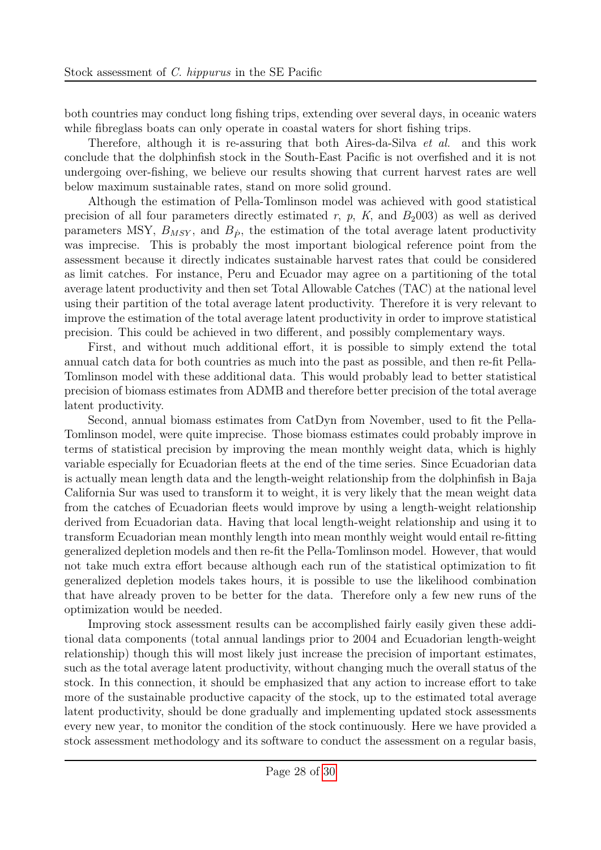both countries may conduct long fishing trips, extending over several days, in oceanic waters while fibreglass boats can only operate in coastal waters for short fishing trips.

Therefore, although it is re-assuring that both Aires-da-Silva et al. and this work conclude that the dolphinfish stock in the South-East Pacific is not overfished and it is not undergoing over-fishing, we believe our results showing that current harvest rates are well below maximum sustainable rates, stand on more solid ground.

Although the estimation of Pella-Tomlinson model was achieved with good statistical precision of all four parameters directly estimated r, p, K, and  $B_2003$ ) as well as derived parameters MSY,  $B_{MSY}$ , and  $B_{\dot{P}}$ , the estimation of the total average latent productivity was imprecise. This is probably the most important biological reference point from the assessment because it directly indicates sustainable harvest rates that could be considered as limit catches. For instance, Peru and Ecuador may agree on a partitioning of the total average latent productivity and then set Total Allowable Catches (TAC) at the national level using their partition of the total average latent productivity. Therefore it is very relevant to improve the estimation of the total average latent productivity in order to improve statistical precision. This could be achieved in two different, and possibly complementary ways.

First, and without much additional effort, it is possible to simply extend the total annual catch data for both countries as much into the past as possible, and then re-fit Pella-Tomlinson model with these additional data. This would probably lead to better statistical precision of biomass estimates from ADMB and therefore better precision of the total average latent productivity.

Second, annual biomass estimates from CatDyn from November, used to fit the Pella-Tomlinson model, were quite imprecise. Those biomass estimates could probably improve in terms of statistical precision by improving the mean monthly weight data, which is highly variable especially for Ecuadorian fleets at the end of the time series. Since Ecuadorian data is actually mean length data and the length-weight relationship from the dolphinfish in Baja California Sur was used to transform it to weight, it is very likely that the mean weight data from the catches of Ecuadorian fleets would improve by using a length-weight relationship derived from Ecuadorian data. Having that local length-weight relationship and using it to transform Ecuadorian mean monthly length into mean monthly weight would entail re-fitting generalized depletion models and then re-fit the Pella-Tomlinson model. However, that would not take much extra effort because although each run of the statistical optimization to fit generalized depletion models takes hours, it is possible to use the likelihood combination that have already proven to be better for the data. Therefore only a few new runs of the optimization would be needed.

Improving stock assessment results can be accomplished fairly easily given these additional data components (total annual landings prior to 2004 and Ecuadorian length-weight relationship) though this will most likely just increase the precision of important estimates, such as the total average latent productivity, without changing much the overall status of the stock. In this connection, it should be emphasized that any action to increase effort to take more of the sustainable productive capacity of the stock, up to the estimated total average latent productivity, should be done gradually and implementing updated stock assessments every new year, to monitor the condition of the stock continuously. Here we have provided a stock assessment methodology and its software to conduct the assessment on a regular basis,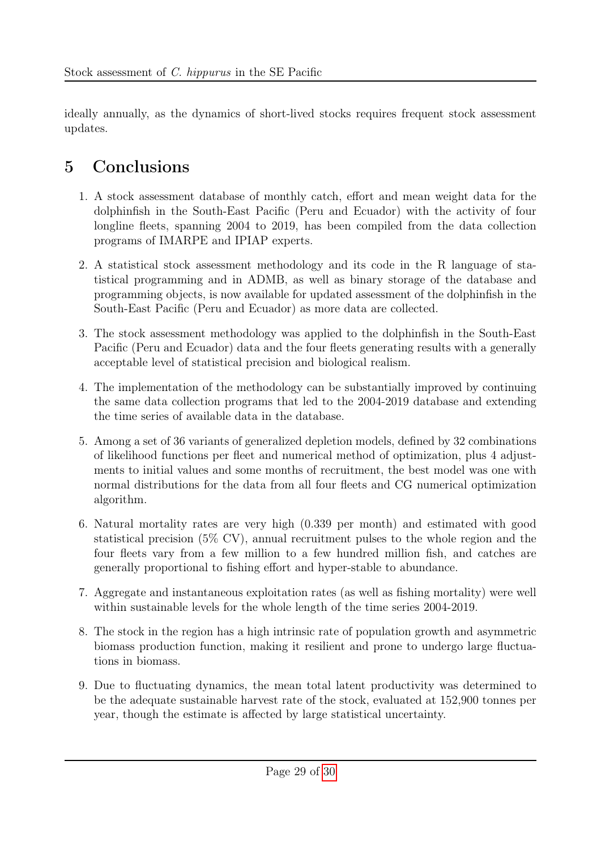ideally annually, as the dynamics of short-lived stocks requires frequent stock assessment updates.

## <span id="page-32-0"></span>5 Conclusions

- 1. A stock assessment database of monthly catch, effort and mean weight data for the dolphinfish in the South-East Pacific (Peru and Ecuador) with the activity of four longline fleets, spanning 2004 to 2019, has been compiled from the data collection programs of IMARPE and IPIAP experts.
- 2. A statistical stock assessment methodology and its code in the R language of statistical programming and in ADMB, as well as binary storage of the database and programming objects, is now available for updated assessment of the dolphinfish in the South-East Pacific (Peru and Ecuador) as more data are collected.
- 3. The stock assessment methodology was applied to the dolphinfish in the South-East Pacific (Peru and Ecuador) data and the four fleets generating results with a generally acceptable level of statistical precision and biological realism.
- 4. The implementation of the methodology can be substantially improved by continuing the same data collection programs that led to the 2004-2019 database and extending the time series of available data in the database.
- 5. Among a set of 36 variants of generalized depletion models, defined by 32 combinations of likelihood functions per fleet and numerical method of optimization, plus 4 adjustments to initial values and some months of recruitment, the best model was one with normal distributions for the data from all four fleets and CG numerical optimization algorithm.
- 6. Natural mortality rates are very high (0.339 per month) and estimated with good statistical precision (5% CV), annual recruitment pulses to the whole region and the four fleets vary from a few million to a few hundred million fish, and catches are generally proportional to fishing effort and hyper-stable to abundance.
- 7. Aggregate and instantaneous exploitation rates (as well as fishing mortality) were well within sustainable levels for the whole length of the time series 2004-2019.
- 8. The stock in the region has a high intrinsic rate of population growth and asymmetric biomass production function, making it resilient and prone to undergo large fluctuations in biomass.
- 9. Due to fluctuating dynamics, the mean total latent productivity was determined to be the adequate sustainable harvest rate of the stock, evaluated at 152,900 tonnes per year, though the estimate is affected by large statistical uncertainty.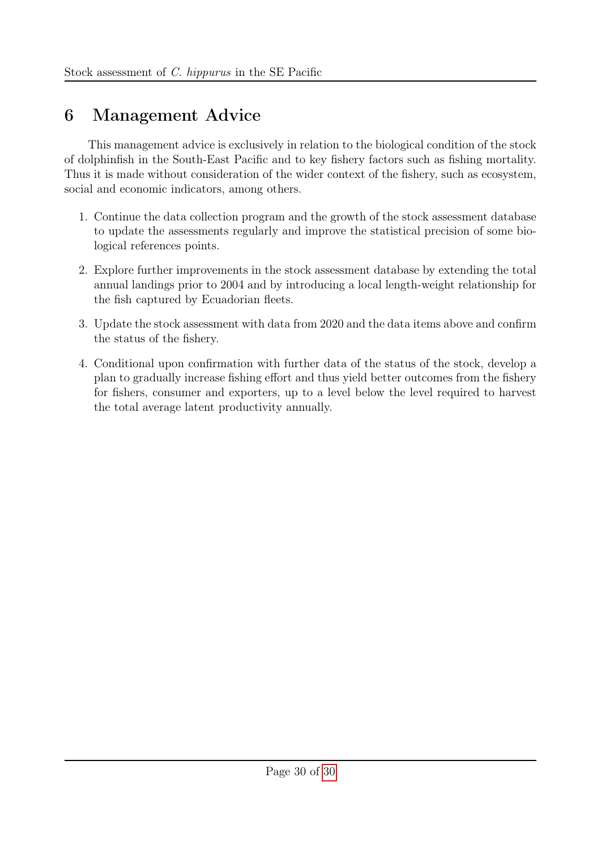## <span id="page-33-0"></span>6 Management Advice

This management advice is exclusively in relation to the biological condition of the stock of dolphinfish in the South-East Pacific and to key fishery factors such as fishing mortality. Thus it is made without consideration of the wider context of the fishery, such as ecosystem, social and economic indicators, among others.

- 1. Continue the data collection program and the growth of the stock assessment database to update the assessments regularly and improve the statistical precision of some biological references points.
- 2. Explore further improvements in the stock assessment database by extending the total annual landings prior to 2004 and by introducing a local length-weight relationship for the fish captured by Ecuadorian fleets.
- 3. Update the stock assessment with data from 2020 and the data items above and confirm the status of the fishery.
- <span id="page-33-1"></span>4. Conditional upon confirmation with further data of the status of the stock, develop a plan to gradually increase fishing effort and thus yield better outcomes from the fishery for fishers, consumer and exporters, up to a level below the level required to harvest the total average latent productivity annually.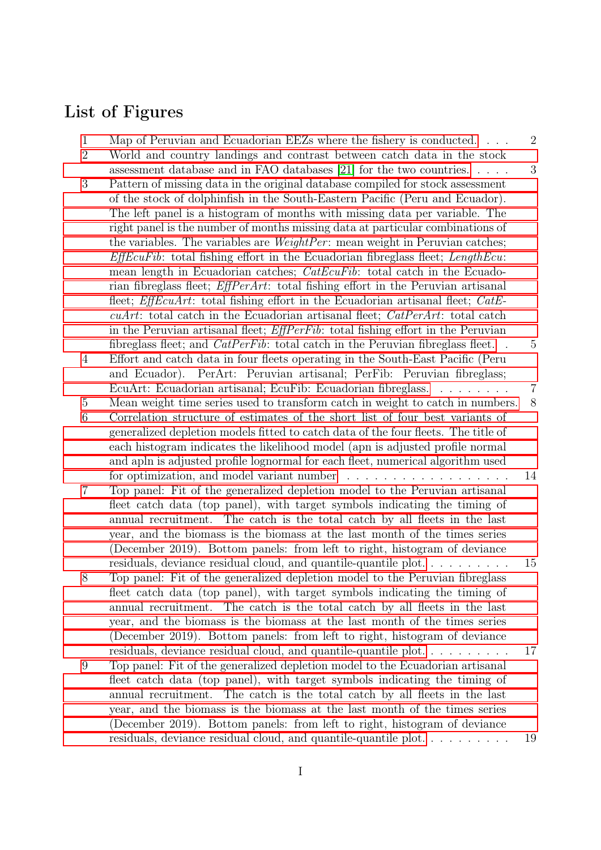## List of Figures

| $\mathbf{1}$<br>$\overline{2}$ | Map of Peruvian and Ecuadorian EEZs where the fishery is conducted<br>World and country landings and contrast between catch data in the stock                                      | $\sqrt{2}$     |
|--------------------------------|------------------------------------------------------------------------------------------------------------------------------------------------------------------------------------|----------------|
|                                | assessment database and in FAO databases [21] for the two countries. $\dots$ .                                                                                                     | 3              |
| 3                              | Pattern of missing data in the original database compiled for stock assessment                                                                                                     |                |
|                                | of the stock of dolphinfish in the South-Eastern Pacific (Peru and Ecuador).                                                                                                       |                |
|                                | The left panel is a histogram of months with missing data per variable. The<br>right panel is the number of months missing data at particular combinations of                      |                |
|                                | the variables. The variables are <i>WeightPer</i> : mean weight in Peruvian catches;                                                                                               |                |
|                                | $EffEcuFib$ : total fishing effort in the Ecuadorian fibreglass fleet; LengthEcu:                                                                                                  |                |
|                                | mean length in Ecuadorian catches; <i>CatEcuFib</i> : total catch in the Ecuado-                                                                                                   |                |
|                                | rian fibreglass fleet; <i>EffPerArt</i> : total fishing effort in the Peruvian artisanal                                                                                           |                |
|                                | fleet; <i>EffEcuArt</i> : total fishing effort in the Ecuadorian artisanal fleet; <i>CatE</i> -                                                                                    |                |
|                                | $\alpha$ <i>cuArt</i> : total catch in the Ecuadorian artisanal fleet; CatPerArt: total catch                                                                                      |                |
|                                | in the Peruvian artisanal fleet; <i>EffPerFib</i> : total fishing effort in the Peruvian<br>fibreglass fleet; and <i>CatPerFib</i> : total catch in the Peruvian fibreglass fleet. | $\overline{5}$ |
| $\overline{4}$                 | Effort and catch data in four fleets operating in the South-East Pacific (Peru                                                                                                     |                |
|                                | and Ecuador). PerArt: Peruvian artisanal; PerFib: Peruvian fibreglass;                                                                                                             |                |
|                                | EcuArt: Ecuadorian artisanal; EcuFib: Ecuadorian fibreglass.                                                                                                                       | $\overline{7}$ |
| $\overline{5}$                 | Mean weight time series used to transform catch in weight to catch in numbers.                                                                                                     | 8              |
| 6                              | Correlation structure of estimates of the short list of four best variants of                                                                                                      |                |
|                                | generalized depletion models fitted to catch data of the four fleets. The title of<br>each histogram indicates the likelihood model (apn is adjusted profile normal                |                |
|                                | and apln is adjusted profile lognormal for each fleet, numerical algorithm used                                                                                                    |                |
|                                | for optimization, and model variant number $\ldots \ldots \ldots \ldots \ldots$                                                                                                    | 14             |
| 7                              | Top panel: Fit of the generalized depletion model to the Peruvian artisanal                                                                                                        |                |
|                                | fleet catch data (top panel), with target symbols indicating the timing of                                                                                                         |                |
|                                | annual recruitment. The catch is the total catch by all fleets in the last                                                                                                         |                |
|                                | year, and the biomass is the biomass at the last month of the times series<br>(December 2019). Bottom panels: from left to right, histogram of deviance                            |                |
|                                | residuals, deviance residual cloud, and quantile-quantile plot                                                                                                                     | $15\,$         |
| 8                              | Top panel: Fit of the generalized depletion model to the Peruvian fibreglass                                                                                                       |                |
|                                | fleet catch data (top panel), with target symbols indicating the timing of                                                                                                         |                |
|                                | annual recruitment. The catch is the total catch by all fleets in the last                                                                                                         |                |
|                                | year, and the biomass is the biomass at the last month of the times series                                                                                                         |                |
|                                | (December 2019). Bottom panels: from left to right, histogram of deviance                                                                                                          |                |
| 9                              | residuals, deviance residual cloud, and quantile-quantile plot<br>Top panel: Fit of the generalized depletion model to the Ecuadorian artisanal                                    | 17             |
|                                | fleet catch data (top panel), with target symbols indicating the timing of                                                                                                         |                |
|                                | annual recruitment. The catch is the total catch by all fleets in the last                                                                                                         |                |
|                                | year, and the biomass is the biomass at the last month of the times series                                                                                                         |                |

[residuals, deviance residual cloud, and quantile-quantile plot.](#page-22-0) . . . . . . . . . 19

[\(December 2019\). Bottom panels: from left to right, histogram of deviance](#page-22-0)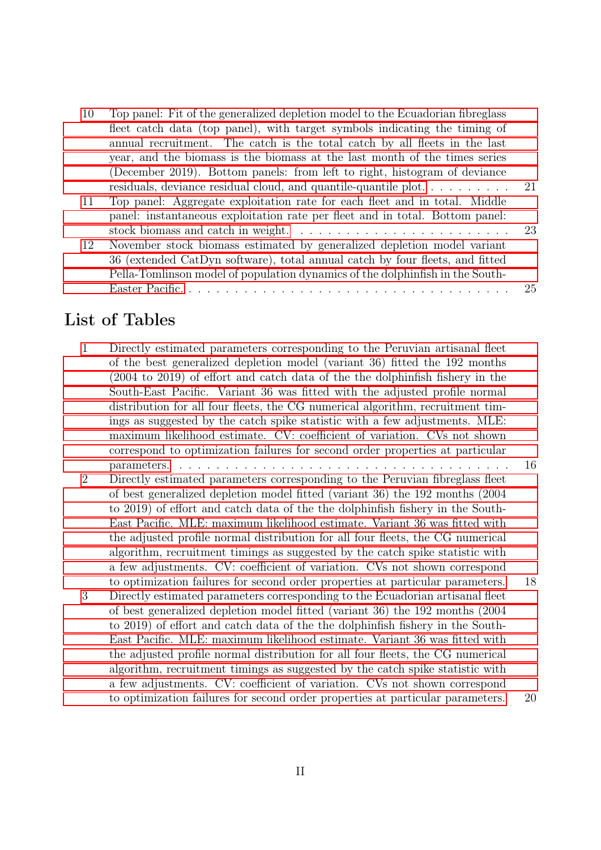| 10 | Top panel: Fit of the generalized depletion model to the Ecuadorian fibreglass |     |
|----|--------------------------------------------------------------------------------|-----|
|    | fleet catch data (top panel), with target symbols indicating the timing of     |     |
|    | annual recruitment. The catch is the total catch by all fleets in the last     |     |
|    | year, and the biomass is the biomass at the last month of the times series     |     |
|    | (December 2019). Bottom panels: from left to right, histogram of deviance      |     |
|    |                                                                                |     |
| 11 | Top panel: Aggregate exploitation rate for each fleet and in total. Middle     |     |
|    | panel: instantaneous exploitation rate per fleet and in total. Bottom panel:   |     |
|    |                                                                                | -23 |
| 12 | November stock biomass estimated by generalized depletion model variant        |     |
|    | 36 (extended CatDyn software), total annual catch by four fleets, and fitted   |     |
|    | Pella-Tomlinson model of population dynamics of the dolphinfish in the South-  |     |
|    |                                                                                |     |
|    |                                                                                |     |

## List of Tables

| $\mathbf{1}$   | Directly estimated parameters corresponding to the Peruvian artisanal fleet              |    |
|----------------|------------------------------------------------------------------------------------------|----|
|                | of the best generalized depletion model (variant 36) fitted the 192 months               |    |
|                | $(2004 \text{ to } 2019)$ of effort and catch data of the the dolphinfish fishery in the |    |
|                | South-East Pacific. Variant 36 was fitted with the adjusted profile normal               |    |
|                | distribution for all four fleets, the CG numerical algorithm, recruitment tim-           |    |
|                | ings as suggested by the catch spike statistic with a few adjustments. MLE:              |    |
|                | maximum likelihood estimate. CV: coefficient of variation. CVs not shown                 |    |
|                |                                                                                          |    |
|                | correspond to optimization failures for second order properties at particular            |    |
|                |                                                                                          | 16 |
| $\overline{2}$ | Directly estimated parameters corresponding to the Peruvian fibreglass fleet             |    |
|                | of best generalized depletion model fitted (variant 36) the 192 months (2004)            |    |
|                | to 2019) of effort and catch data of the the dolphinfish fishery in the South-           |    |
|                | East Pacific. MLE: maximum likelihood estimate. Variant 36 was fitted with               |    |
|                | the adjusted profile normal distribution for all four fleets, the CG numerical           |    |
|                | algorithm, recruitment timings as suggested by the catch spike statistic with            |    |
|                | a few adjustments. CV: coefficient of variation. CVs not shown correspond                |    |
|                | to optimization failures for second order properties at particular parameters.           | 18 |
| 3              | Directly estimated parameters corresponding to the Ecuadorian artisanal fleet            |    |
|                | of best generalized depletion model fitted (variant 36) the 192 months (2004)            |    |
|                | to 2019) of effort and catch data of the the dolphinfish fishery in the South-           |    |
|                | East Pacific. MLE: maximum likelihood estimate. Variant 36 was fitted with               |    |
|                | the adjusted profile normal distribution for all four fleets, the CG numerical           |    |
|                | algorithm, recruitment timings as suggested by the catch spike statistic with            |    |
|                |                                                                                          |    |
|                | a few adjustments. CV: coefficient of variation. CVs not shown correspond                |    |
|                | to optimization failures for second order properties at particular parameters.           | 20 |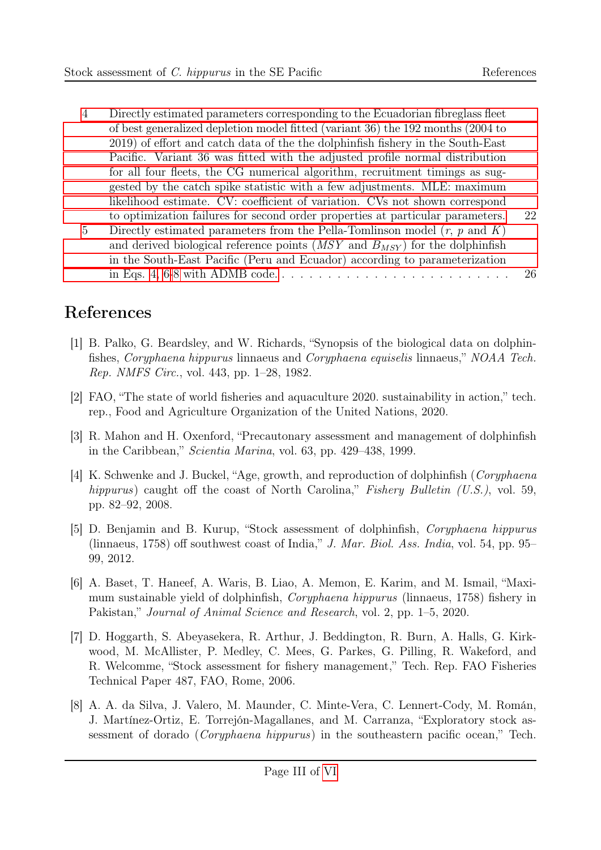- [4 Directly estimated parameters corresponding to the Ecuadorian fibreglass fleet](#page-25-0) [of best generalized depletion model fitted \(variant 36\) the 192 months \(2004 to](#page-25-0) [2019\) of effort and catch data of the the dolphinfish fishery in the South-East](#page-25-0) [Pacific. Variant 36 was fitted with the adjusted profile normal distribution](#page-25-0) [for all four fleets, the CG numerical algorithm, recruitment timings as sug](#page-25-0)[gested by the catch spike statistic with a few adjustments. MLE: maximum](#page-25-0) [likelihood estimate. CV: coefficient of variation. CVs not shown correspond](#page-25-0) [to optimization failures for second order properties at particular parameters.](#page-25-0) 22 5 Directly estimated parameters from the Pella-Tomlinson model  $(r, p \text{ and } K)$
- and derived biological reference points  $(MSY)$  and  $B_{MSY}$  for the dolphinfish [in the South-East Pacific \(Peru and Ecuador\) according to parameterization](#page-29-1) [in Eqs. 4, 6-8 with ADMB code.](#page-29-1) . . . . . . . . . . . . . . . . . . . . . . . . . 26

### References

- <span id="page-36-0"></span>[1] B. Palko, G. Beardsley, and W. Richards, "Synopsis of the biological data on dolphinfishes, Coryphaena hippurus linnaeus and Coryphaena equiselis linnaeus," NOAA Tech. Rep. NMFS Circ., vol. 443, pp. 1–28, 1982.
- <span id="page-36-1"></span>[2] FAO, "The state of world fisheries and aquaculture 2020. sustainability in action," tech. rep., Food and Agriculture Organization of the United Nations, 2020.
- <span id="page-36-2"></span>[3] R. Mahon and H. Oxenford, "Precautonary assessment and management of dolphinfish in the Caribbean," Scientia Marina, vol. 63, pp. 429–438, 1999.
- <span id="page-36-3"></span>[4] K. Schwenke and J. Buckel, "Age, growth, and reproduction of dolphinfish (Coryphaena hippurus) caught off the coast of North Carolina," Fishery Bulletin (U.S.), vol. 59, pp. 82–92, 2008.
- <span id="page-36-4"></span>[5] D. Benjamin and B. Kurup, "Stock assessment of dolphinfish, Coryphaena hippurus (linnaeus, 1758) off southwest coast of India," J. Mar. Biol. Ass. India, vol. 54, pp. 95– 99, 2012.
- <span id="page-36-5"></span>[6] A. Baset, T. Haneef, A. Waris, B. Liao, A. Memon, E. Karim, and M. Ismail, "Maximum sustainable yield of dolphinfish, Coryphaena hippurus (linnaeus, 1758) fishery in Pakistan," Journal of Animal Science and Research, vol. 2, pp. 1–5, 2020.
- <span id="page-36-6"></span>[7] D. Hoggarth, S. Abeyasekera, R. Arthur, J. Beddington, R. Burn, A. Halls, G. Kirkwood, M. McAllister, P. Medley, C. Mees, G. Parkes, G. Pilling, R. Wakeford, and R. Welcomme, "Stock assessment for fishery management," Tech. Rep. FAO Fisheries Technical Paper 487, FAO, Rome, 2006.
- <span id="page-36-7"></span>[8] A. A. da Silva, J. Valero, M. Maunder, C. Minte-Vera, C. Lennert-Cody, M. Román, J. Martínez-Ortiz, E. Torrejón-Magallanes, and M. Carranza, "Exploratory stock assessment of dorado (Coryphaena hippurus) in the southeastern pacific ocean," Tech.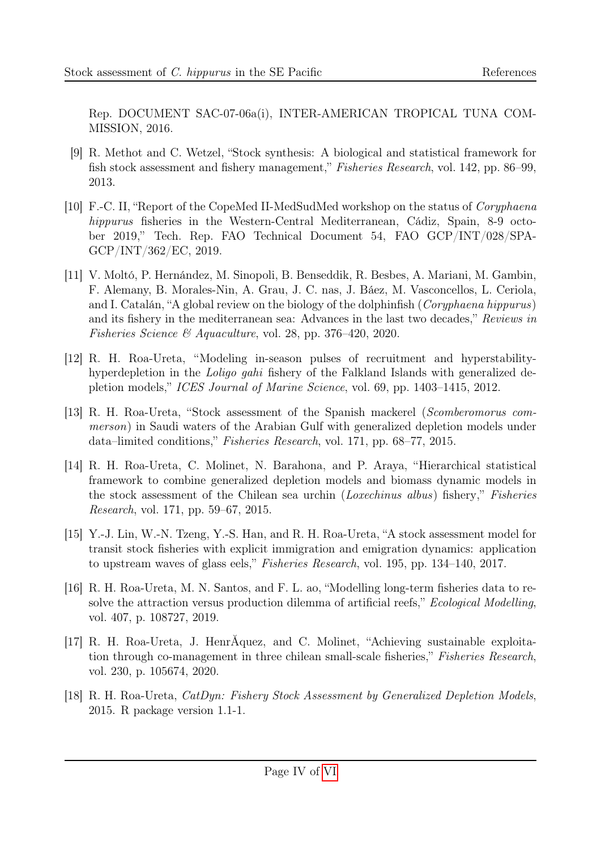Rep. DOCUMENT SAC-07-06a(i), INTER-AMERICAN TROPICAL TUNA COM-MISSION, 2016.

- <span id="page-37-0"></span>[9] R. Methot and C. Wetzel, "Stock synthesis: A biological and statistical framework for fish stock assessment and fishery management," Fisheries Research, vol. 142, pp. 86–99, 2013.
- <span id="page-37-1"></span>[10] F.-C. II, "Report of the CopeMed II-MedSudMed workshop on the status of Coryphaena hippurus fisheries in the Western-Central Mediterranean, Cádiz, Spain, 8-9 october 2019," Tech. Rep. FAO Technical Document 54, FAO GCP/INT/028/SPA-GCP/INT/362/EC, 2019.
- <span id="page-37-2"></span>[11] V. Moltó, P. Hernández, M. Sinopoli, B. Benseddik, R. Besbes, A. Mariani, M. Gambin, F. Alemany, B. Morales-Nin, A. Grau, J. C. nas, J. Báez, M. Vasconcellos, L. Ceriola, and I. Catalán, "A global review on the biology of the dolphinfish (Coryphaena hippurus) and its fishery in the mediterranean sea: Advances in the last two decades," Reviews in Fisheries Science & Aquaculture, vol. 28, pp. 376–420, 2020.
- <span id="page-37-3"></span>[12] R. H. Roa-Ureta, "Modeling in-season pulses of recruitment and hyperstabilityhyperdepletion in the Loligo gahi fishery of the Falkland Islands with generalized depletion models," ICES Journal of Marine Science, vol. 69, pp. 1403–1415, 2012.
- <span id="page-37-4"></span>[13] R. H. Roa-Ureta, "Stock assessment of the Spanish mackerel (Scomberomorus commerson) in Saudi waters of the Arabian Gulf with generalized depletion models under data–limited conditions," Fisheries Research, vol. 171, pp. 68–77, 2015.
- <span id="page-37-5"></span>[14] R. H. Roa-Ureta, C. Molinet, N. Barahona, and P. Araya, "Hierarchical statistical framework to combine generalized depletion models and biomass dynamic models in the stock assessment of the Chilean sea urchin (Loxechinus albus) fishery," Fisheries Research, vol. 171, pp. 59–67, 2015.
- <span id="page-37-6"></span>[15] Y.-J. Lin, W.-N. Tzeng, Y.-S. Han, and R. H. Roa-Ureta, "A stock assessment model for transit stock fisheries with explicit immigration and emigration dynamics: application to upstream waves of glass eels," Fisheries Research, vol. 195, pp. 134–140, 2017.
- <span id="page-37-7"></span>[16] R. H. Roa-Ureta, M. N. Santos, and F. L. ao, "Modelling long-term fisheries data to resolve the attraction versus production dilemma of artificial reefs," Ecological Modelling, vol. 407, p. 108727, 2019.
- <span id="page-37-8"></span>[17] R. H. Roa-Ureta, J. HenrĂquez, and C. Molinet, "Achieving sustainable exploitation through co-management in three chilean small-scale fisheries," Fisheries Research, vol. 230, p. 105674, 2020.
- <span id="page-37-9"></span>[18] R. H. Roa-Ureta, CatDyn: Fishery Stock Assessment by Generalized Depletion Models, 2015. R package version 1.1-1.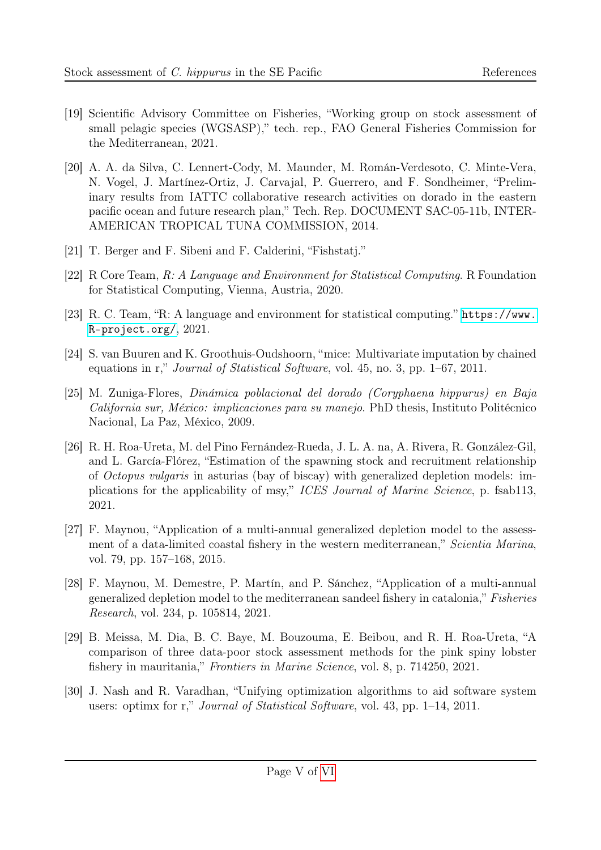- <span id="page-38-0"></span>[19] Scientific Advisory Committee on Fisheries, "Working group on stock assessment of small pelagic species (WGSASP)," tech. rep., FAO General Fisheries Commission for the Mediterranean, 2021.
- <span id="page-38-1"></span>[20] A. A. da Silva, C. Lennert-Cody, M. Maunder, M. Román-Verdesoto, C. Minte-Vera, N. Vogel, J. Martínez-Ortiz, J. Carvajal, P. Guerrero, and F. Sondheimer, "Preliminary results from IATTC collaborative research activities on dorado in the eastern pacific ocean and future research plan," Tech. Rep. DOCUMENT SAC-05-11b, INTER-AMERICAN TROPICAL TUNA COMMISSION, 2014.
- <span id="page-38-2"></span>[21] T. Berger and F. Sibeni and F. Calderini, "Fishstatj."
- <span id="page-38-3"></span>[22] R Core Team, R: A Language and Environment for Statistical Computing. R Foundation for Statistical Computing, Vienna, Austria, 2020.
- <span id="page-38-4"></span>[23] R. C. Team, "R: A language and environment for statistical computing." [https://www.](https://www.R-project.org/) [R-project.org/](https://www.R-project.org/), 2021.
- <span id="page-38-5"></span>[24] S. van Buuren and K. Groothuis-Oudshoorn, "mice: Multivariate imputation by chained equations in r," Journal of Statistical Software, vol. 45, no. 3, pp. 1–67, 2011.
- <span id="page-38-6"></span>[25] M. Zuniga-Flores, Dinámica poblacional del dorado (Coryphaena hippurus) en Baja California sur, México: implicaciones para su manejo. PhD thesis, Instituto Politécnico Nacional, La Paz, México, 2009.
- <span id="page-38-7"></span>[26] R. H. Roa-Ureta, M. del Pino Fernández-Rueda, J. L. A. na, A. Rivera, R. González-Gil, and L. García-Flórez, "Estimation of the spawning stock and recruitment relationship of Octopus vulgaris in asturias (bay of biscay) with generalized depletion models: implications for the applicability of msy," ICES Journal of Marine Science, p. fsab113, 2021.
- <span id="page-38-8"></span>[27] F. Maynou, "Application of a multi-annual generalized depletion model to the assessment of a data-limited coastal fishery in the western mediterranean," Scientia Marina, vol. 79, pp. 157–168, 2015.
- <span id="page-38-9"></span>[28] F. Maynou, M. Demestre, P. Martín, and P. Sánchez, "Application of a multi-annual generalized depletion model to the mediterranean sandeel fishery in catalonia," Fisheries Research, vol. 234, p. 105814, 2021.
- <span id="page-38-10"></span>[29] B. Meissa, M. Dia, B. C. Baye, M. Bouzouma, E. Beibou, and R. H. Roa-Ureta, "A comparison of three data-poor stock assessment methods for the pink spiny lobster fishery in mauritania," Frontiers in Marine Science, vol. 8, p. 714250, 2021.
- <span id="page-38-11"></span>[30] J. Nash and R. Varadhan, "Unifying optimization algorithms to aid software system users: optimx for r," Journal of Statistical Software, vol. 43, pp. 1–14, 2011.